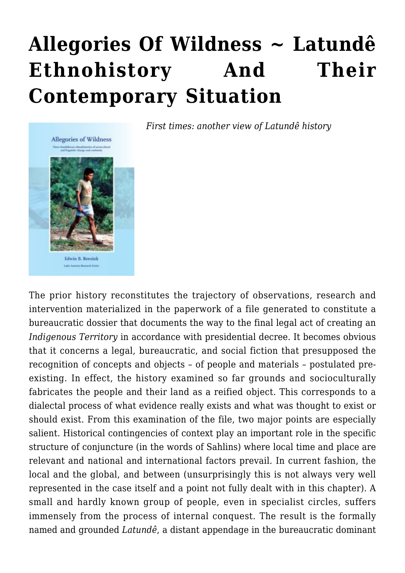# **[Allegories Of Wildness ~ Latundê](https://rozenbergquarterly.com/allegories-of-wildness-latunde-ethnohistory-and-their-contemporary-situation/) [Ethnohistory And Their](https://rozenbergquarterly.com/allegories-of-wildness-latunde-ethnohistory-and-their-contemporary-situation/) [Contemporary Situation](https://rozenbergquarterly.com/allegories-of-wildness-latunde-ethnohistory-and-their-contemporary-situation/)**



*First times: another view of Latundê history*

The prior history reconstitutes the trajectory of observations, research and intervention materialized in the paperwork of a file generated to constitute a bureaucratic dossier that documents the way to the final legal act of creating an *Indigenous Territory* in accordance with presidential decree. It becomes obvious that it concerns a legal, bureaucratic, and social fiction that presupposed the recognition of concepts and objects – of people and materials – postulated preexisting. In effect, the history examined so far grounds and socioculturally fabricates the people and their land as a reified object. This corresponds to a dialectal process of what evidence really exists and what was thought to exist or should exist. From this examination of the file, two major points are especially salient. Historical contingencies of context play an important role in the specific structure of conjuncture (in the words of Sahlins) where local time and place are relevant and national and international factors prevail. In current fashion, the local and the global, and between (unsurprisingly this is not always very well represented in the case itself and a point not fully dealt with in this chapter). A small and hardly known group of people, even in specialist circles, suffers immensely from the process of internal conquest. The result is the formally named and grounded *Latundê*, a distant appendage in the bureaucratic dominant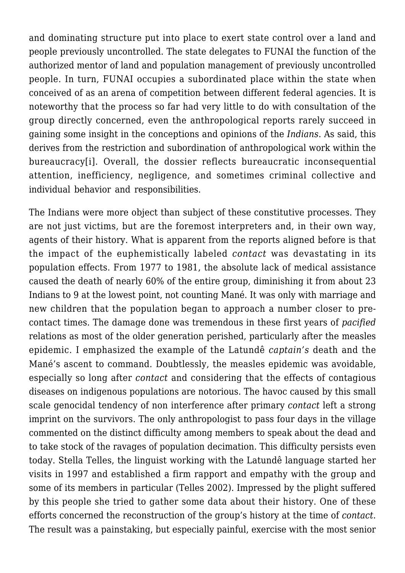and dominating structure put into place to exert state control over a land and people previously uncontrolled. The state delegates to FUNAI the function of the authorized mentor of land and population management of previously uncontrolled people. In turn, FUNAI occupies a subordinated place within the state when conceived of as an arena of competition between different federal agencies. It is noteworthy that the process so far had very little to do with consultation of the group directly concerned, even the anthropological reports rarely succeed in gaining some insight in the conceptions and opinions of the *Indians*. As said, this derives from the restriction and subordination of anthropological work within the bureaucracy<sup>[i]</sup>. Overall, the dossier reflects bureaucratic inconsequential attention, inefficiency, negligence, and sometimes criminal collective and individual behavior and responsibilities.

The Indians were more object than subject of these constitutive processes. They are not just victims, but are the foremost interpreters and, in their own way, agents of their history. What is apparent from the reports aligned before is that the impact of the euphemistically labeled *contact* was devastating in its population effects. From 1977 to 1981, the absolute lack of medical assistance caused the death of nearly 60% of the entire group, diminishing it from about 23 Indians to 9 at the lowest point, not counting Mané. It was only with marriage and new children that the population began to approach a number closer to precontact times. The damage done was tremendous in these first years of *pacified* relations as most of the older generation perished, particularly after the measles epidemic. I emphasized the example of the Latundê *captain's* death and the Mané's ascent to command. Doubtlessly, the measles epidemic was avoidable, especially so long after *contact* and considering that the effects of contagious diseases on indigenous populations are notorious. The havoc caused by this small scale genocidal tendency of non interference after primary *contact* left a strong imprint on the survivors. The only anthropologist to pass four days in the village commented on the distinct difficulty among members to speak about the dead and to take stock of the ravages of population decimation. This difficulty persists even today. Stella Telles, the linguist working with the Latundê language started her visits in 1997 and established a firm rapport and empathy with the group and some of its members in particular (Telles 2002). Impressed by the plight suffered by this people she tried to gather some data about their history. One of these efforts concerned the reconstruction of the group's history at the time of *contact*. The result was a painstaking, but especially painful, exercise with the most senior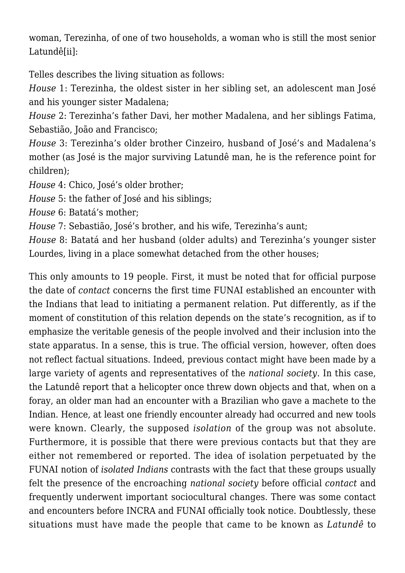woman, Terezinha, of one of two households, a woman who is still the most senior Latundê[ii]:

Telles describes the living situation as follows:

*House* 1: Terezinha, the oldest sister in her sibling set, an adolescent man José and his younger sister Madalena;

*House* 2: Terezinha's father Davi, her mother Madalena, and her siblings Fatima, Sebastião, João and Francisco;

*House* 3: Terezinha's older brother Cinzeiro, husband of José's and Madalena's mother (as José is the major surviving Latundê man, he is the reference point for children);

*House* 4: Chico, José's older brother;

*House* 5: the father of José and his siblings;

*House* 6: Batatá's mother;

*House* 7: Sebastião, José's brother, and his wife, Terezinha's aunt;

*House* 8: Batatá and her husband (older adults) and Terezinha's younger sister Lourdes, living in a place somewhat detached from the other houses;

This only amounts to 19 people. First, it must be noted that for official purpose the date of *contact* concerns the first time FUNAI established an encounter with the Indians that lead to initiating a permanent relation. Put differently, as if the moment of constitution of this relation depends on the state's recognition, as if to emphasize the veritable genesis of the people involved and their inclusion into the state apparatus. In a sense, this is true. The official version, however, often does not reflect factual situations. Indeed, previous contact might have been made by a large variety of agents and representatives of the *national society*. In this case, the Latundê report that a helicopter once threw down objects and that, when on a foray, an older man had an encounter with a Brazilian who gave a machete to the Indian. Hence, at least one friendly encounter already had occurred and new tools were known. Clearly, the supposed *isolation* of the group was not absolute. Furthermore, it is possible that there were previous contacts but that they are either not remembered or reported. The idea of isolation perpetuated by the FUNAI notion of *isolated Indians* contrasts with the fact that these groups usually felt the presence of the encroaching *national society* before official *contact* and frequently underwent important sociocultural changes. There was some contact and encounters before INCRA and FUNAI officially took notice. Doubtlessly, these situations must have made the people that came to be known as *Latundê* to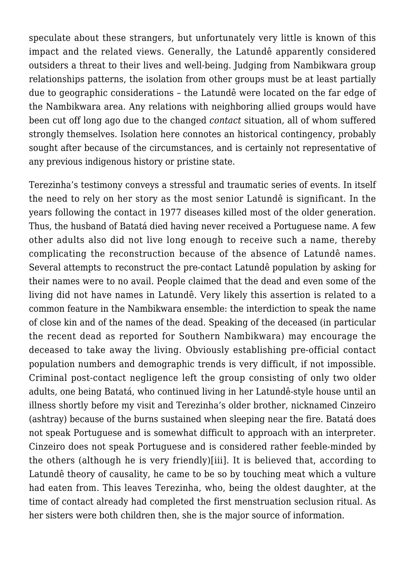speculate about these strangers, but unfortunately very little is known of this impact and the related views. Generally, the Latundê apparently considered outsiders a threat to their lives and well-being. Judging from Nambikwara group relationships patterns, the isolation from other groups must be at least partially due to geographic considerations – the Latundê were located on the far edge of the Nambikwara area. Any relations with neighboring allied groups would have been cut off long ago due to the changed *contact* situation, all of whom suffered strongly themselves. Isolation here connotes an historical contingency, probably sought after because of the circumstances, and is certainly not representative of any previous indigenous history or pristine state.

Terezinha's testimony conveys a stressful and traumatic series of events. In itself the need to rely on her story as the most senior Latundê is significant. In the years following the contact in 1977 diseases killed most of the older generation. Thus, the husband of Batatá died having never received a Portuguese name. A few other adults also did not live long enough to receive such a name, thereby complicating the reconstruction because of the absence of Latundê names. Several attempts to reconstruct the pre-contact Latundê population by asking for their names were to no avail. People claimed that the dead and even some of the living did not have names in Latundê. Very likely this assertion is related to a common feature in the Nambikwara ensemble: the interdiction to speak the name of close kin and of the names of the dead. Speaking of the deceased (in particular the recent dead as reported for Southern Nambikwara) may encourage the deceased to take away the living. Obviously establishing pre-official contact population numbers and demographic trends is very difficult, if not impossible. Criminal post-contact negligence left the group consisting of only two older adults, one being Batatá, who continued living in her Latundê-style house until an illness shortly before my visit and Terezinha's older brother, nicknamed Cinzeiro (ashtray) because of the burns sustained when sleeping near the fire. Batatá does not speak Portuguese and is somewhat difficult to approach with an interpreter. Cinzeiro does not speak Portuguese and is considered rather feeble-minded by the others (although he is very friendly)[iii]. It is believed that, according to Latundê theory of causality, he came to be so by touching meat which a vulture had eaten from. This leaves Terezinha, who, being the oldest daughter, at the time of contact already had completed the first menstruation seclusion ritual. As her sisters were both children then, she is the major source of information.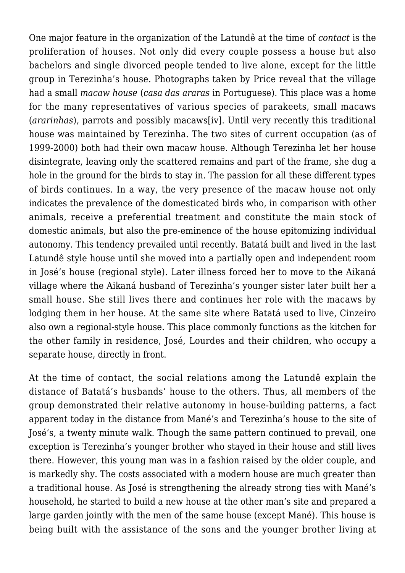One major feature in the organization of the Latundê at the time of *contact* is the proliferation of houses. Not only did every couple possess a house but also bachelors and single divorced people tended to live alone, except for the little group in Terezinha's house. Photographs taken by Price reveal that the village had a small *macaw house* (*casa das araras* in Portuguese). This place was a home for the many representatives of various species of parakeets, small macaws (*ararinhas*), parrots and possibly macaws[iv]. Until very recently this traditional house was maintained by Terezinha. The two sites of current occupation (as of 1999-2000) both had their own macaw house. Although Terezinha let her house disintegrate, leaving only the scattered remains and part of the frame, she dug a hole in the ground for the birds to stay in. The passion for all these different types of birds continues. In a way, the very presence of the macaw house not only indicates the prevalence of the domesticated birds who, in comparison with other animals, receive a preferential treatment and constitute the main stock of domestic animals, but also the pre-eminence of the house epitomizing individual autonomy. This tendency prevailed until recently. Batatá built and lived in the last Latundê style house until she moved into a partially open and independent room in José's house (regional style). Later illness forced her to move to the Aikaná village where the Aikaná husband of Terezinha's younger sister later built her a small house. She still lives there and continues her role with the macaws by lodging them in her house. At the same site where Batatá used to live, Cinzeiro also own a regional-style house. This place commonly functions as the kitchen for the other family in residence, José, Lourdes and their children, who occupy a separate house, directly in front.

At the time of contact, the social relations among the Latundê explain the distance of Batatá's husbands' house to the others. Thus, all members of the group demonstrated their relative autonomy in house-building patterns, a fact apparent today in the distance from Mané's and Terezinha's house to the site of José's, a twenty minute walk. Though the same pattern continued to prevail, one exception is Terezinha's younger brother who stayed in their house and still lives there. However, this young man was in a fashion raised by the older couple, and is markedly shy. The costs associated with a modern house are much greater than a traditional house. As José is strengthening the already strong ties with Mané's household, he started to build a new house at the other man's site and prepared a large garden jointly with the men of the same house (except Mané). This house is being built with the assistance of the sons and the younger brother living at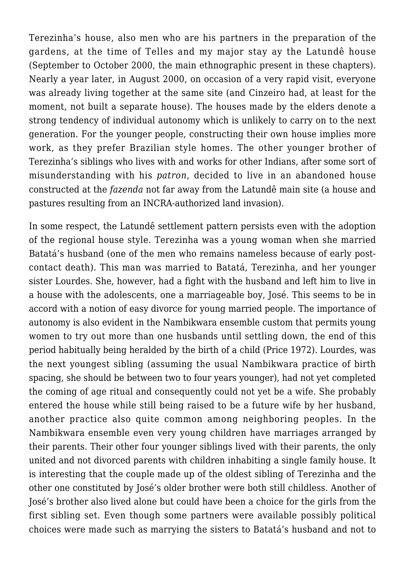Terezinha's house, also men who are his partners in the preparation of the gardens, at the time of Telles and my major stay ay the Latundê house (September to October 2000, the main ethnographic present in these chapters). Nearly a year later, in August 2000, on occasion of a very rapid visit, everyone was already living together at the same site (and Cinzeiro had, at least for the moment, not built a separate house). The houses made by the elders denote a strong tendency of individual autonomy which is unlikely to carry on to the next generation. For the younger people, constructing their own house implies more work, as they prefer Brazilian style homes. The other younger brother of Terezinha's siblings who lives with and works for other Indians, after some sort of misunderstanding with his *patron*, decided to live in an abandoned house constructed at the *fazenda* not far away from the Latundê main site (a house and pastures resulting from an INCRA-authorized land invasion).

In some respect, the Latundê settlement pattern persists even with the adoption of the regional house style. Terezinha was a young woman when she married Batatá's husband (one of the men who remains nameless because of early postcontact death). This man was married to Batatá, Terezinha, and her younger sister Lourdes. She, however, had a fight with the husband and left him to live in a house with the adolescents, one a marriageable boy, José. This seems to be in accord with a notion of easy divorce for young married people. The importance of autonomy is also evident in the Nambikwara ensemble custom that permits young women to try out more than one husbands until settling down, the end of this period habitually being heralded by the birth of a child (Price 1972). Lourdes, was the next youngest sibling (assuming the usual Nambikwara practice of birth spacing, she should be between two to four years younger), had not yet completed the coming of age ritual and consequently could not yet be a wife. She probably entered the house while still being raised to be a future wife by her husband, another practice also quite common among neighboring peoples. In the Nambikwara ensemble even very young children have marriages arranged by their parents. Their other four younger siblings lived with their parents, the only united and not divorced parents with children inhabiting a single family house. It is interesting that the couple made up of the oldest sibling of Terezinha and the other one constituted by José's older brother were both still childless. Another of José's brother also lived alone but could have been a choice for the girls from the first sibling set. Even though some partners were available possibly political choices were made such as marrying the sisters to Batatá's husband and not to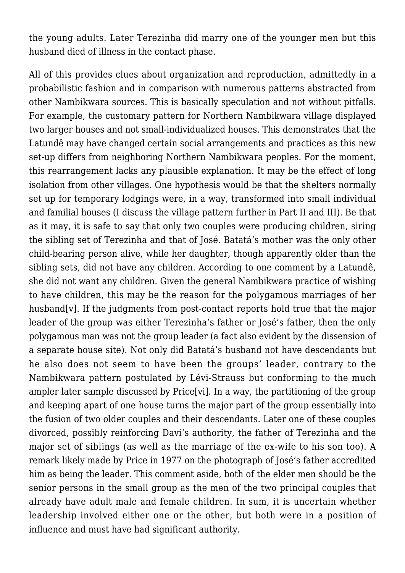the young adults. Later Terezinha did marry one of the younger men but this husband died of illness in the contact phase.

All of this provides clues about organization and reproduction, admittedly in a probabilistic fashion and in comparison with numerous patterns abstracted from other Nambikwara sources. This is basically speculation and not without pitfalls. For example, the customary pattern for Northern Nambikwara village displayed two larger houses and not small-individualized houses. This demonstrates that the Latundê may have changed certain social arrangements and practices as this new set-up differs from neighboring Northern Nambikwara peoples. For the moment, this rearrangement lacks any plausible explanation. It may be the effect of long isolation from other villages. One hypothesis would be that the shelters normally set up for temporary lodgings were, in a way, transformed into small individual and familial houses (I discuss the village pattern further in Part II and III). Be that as it may, it is safe to say that only two couples were producing children, siring the sibling set of Terezinha and that of José. Batatá's mother was the only other child-bearing person alive, while her daughter, though apparently older than the sibling sets, did not have any children. According to one comment by a Latundê, she did not want any children. Given the general Nambikwara practice of wishing to have children, this may be the reason for the polygamous marriages of her husband [v]. If the judgments from post-contact reports hold true that the major leader of the group was either Terezinha's father or José's father, then the only polygamous man was not the group leader (a fact also evident by the dissension of a separate house site). Not only did Batatá's husband not have descendants but he also does not seem to have been the groups' leader, contrary to the Nambikwara pattern postulated by Lévi-Strauss but conforming to the much ampler later sample discussed by Price[vi]. In a way, the partitioning of the group and keeping apart of one house turns the major part of the group essentially into the fusion of two older couples and their descendants. Later one of these couples divorced, possibly reinforcing Davi's authority, the father of Terezinha and the major set of siblings (as well as the marriage of the ex-wife to his son too). A remark likely made by Price in 1977 on the photograph of José's father accredited him as being the leader. This comment aside, both of the elder men should be the senior persons in the small group as the men of the two principal couples that already have adult male and female children. In sum, it is uncertain whether leadership involved either one or the other, but both were in a position of influence and must have had significant authority.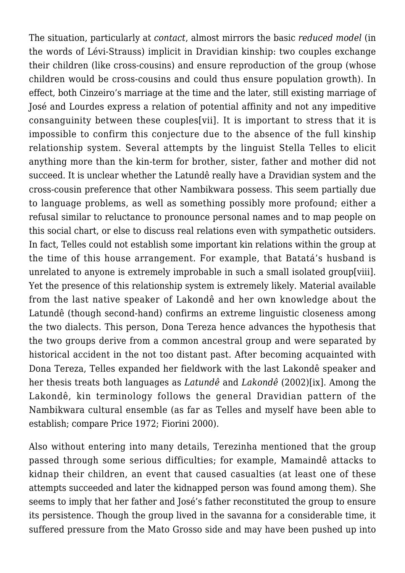The situation, particularly at *contact*, almost mirrors the basic *reduced model* (in the words of Lévi-Strauss) implicit in Dravidian kinship: two couples exchange their children (like cross-cousins) and ensure reproduction of the group (whose children would be cross-cousins and could thus ensure population growth). In effect, both Cinzeiro's marriage at the time and the later, still existing marriage of José and Lourdes express a relation of potential affinity and not any impeditive consanguinity between these couples[vii]. It is important to stress that it is impossible to confirm this conjecture due to the absence of the full kinship relationship system. Several attempts by the linguist Stella Telles to elicit anything more than the kin-term for brother, sister, father and mother did not succeed. It is unclear whether the Latundê really have a Dravidian system and the cross-cousin preference that other Nambikwara possess. This seem partially due to language problems, as well as something possibly more profound; either a refusal similar to reluctance to pronounce personal names and to map people on this social chart, or else to discuss real relations even with sympathetic outsiders. In fact, Telles could not establish some important kin relations within the group at the time of this house arrangement. For example, that Batatá's husband is unrelated to anyone is extremely improbable in such a small isolated group[viii]. Yet the presence of this relationship system is extremely likely. Material available from the last native speaker of Lakondê and her own knowledge about the Latundê (though second-hand) confirms an extreme linguistic closeness among the two dialects. This person, Dona Tereza hence advances the hypothesis that the two groups derive from a common ancestral group and were separated by historical accident in the not too distant past. After becoming acquainted with Dona Tereza, Telles expanded her fieldwork with the last Lakondê speaker and her thesis treats both languages as *Latundê* and *Lakondê* (2002)[ix]. Among the Lakondê, kin terminology follows the general Dravidian pattern of the Nambikwara cultural ensemble (as far as Telles and myself have been able to establish; compare Price 1972; Fiorini 2000).

Also without entering into many details, Terezinha mentioned that the group passed through some serious difficulties; for example, Mamaindê attacks to kidnap their children, an event that caused casualties (at least one of these attempts succeeded and later the kidnapped person was found among them). She seems to imply that her father and José's father reconstituted the group to ensure its persistence. Though the group lived in the savanna for a considerable time, it suffered pressure from the Mato Grosso side and may have been pushed up into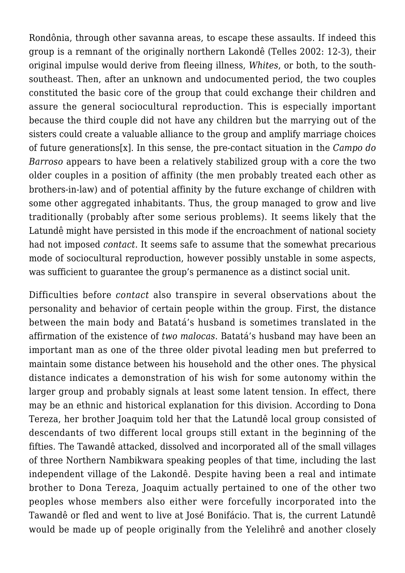Rondônia, through other savanna areas, to escape these assaults. If indeed this group is a remnant of the originally northern Lakondê (Telles 2002: 12-3), their original impulse would derive from fleeing illness, *Whites*, or both, to the southsoutheast. Then, after an unknown and undocumented period, the two couples constituted the basic core of the group that could exchange their children and assure the general sociocultural reproduction. This is especially important because the third couple did not have any children but the marrying out of the sisters could create a valuable alliance to the group and amplify marriage choices of future generations[x]. In this sense, the pre-contact situation in the *Campo do Barroso* appears to have been a relatively stabilized group with a core the two older couples in a position of affinity (the men probably treated each other as brothers-in-law) and of potential affinity by the future exchange of children with some other aggregated inhabitants. Thus, the group managed to grow and live traditionally (probably after some serious problems). It seems likely that the Latundê might have persisted in this mode if the encroachment of national society had not imposed *contact*. It seems safe to assume that the somewhat precarious mode of sociocultural reproduction, however possibly unstable in some aspects, was sufficient to guarantee the group's permanence as a distinct social unit.

Difficulties before *contact* also transpire in several observations about the personality and behavior of certain people within the group. First, the distance between the main body and Batatá's husband is sometimes translated in the affirmation of the existence of *two malocas*. Batatá's husband may have been an important man as one of the three older pivotal leading men but preferred to maintain some distance between his household and the other ones. The physical distance indicates a demonstration of his wish for some autonomy within the larger group and probably signals at least some latent tension. In effect, there may be an ethnic and historical explanation for this division. According to Dona Tereza, her brother Joaquim told her that the Latundê local group consisted of descendants of two different local groups still extant in the beginning of the fifties. The Tawandê attacked, dissolved and incorporated all of the small villages of three Northern Nambikwara speaking peoples of that time, including the last independent village of the Lakondê. Despite having been a real and intimate brother to Dona Tereza, Joaquim actually pertained to one of the other two peoples whose members also either were forcefully incorporated into the Tawandê or fled and went to live at José Bonifácio. That is, the current Latundê would be made up of people originally from the Yelelihrê and another closely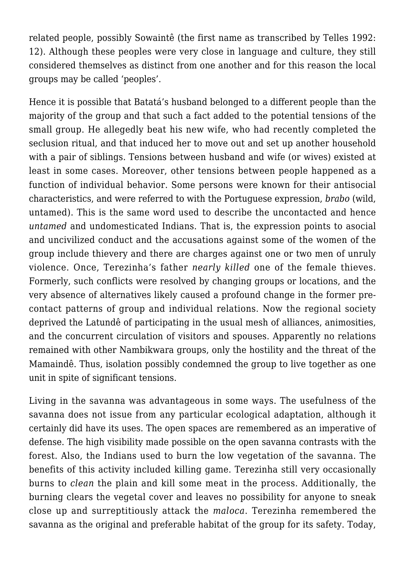related people, possibly Sowaintê (the first name as transcribed by Telles 1992: 12). Although these peoples were very close in language and culture, they still considered themselves as distinct from one another and for this reason the local groups may be called 'peoples'.

Hence it is possible that Batatá's husband belonged to a different people than the majority of the group and that such a fact added to the potential tensions of the small group. He allegedly beat his new wife, who had recently completed the seclusion ritual, and that induced her to move out and set up another household with a pair of siblings. Tensions between husband and wife (or wives) existed at least in some cases. Moreover, other tensions between people happened as a function of individual behavior. Some persons were known for their antisocial characteristics, and were referred to with the Portuguese expression, *brabo* (wild, untamed). This is the same word used to describe the uncontacted and hence *untamed* and undomesticated Indians. That is, the expression points to asocial and uncivilized conduct and the accusations against some of the women of the group include thievery and there are charges against one or two men of unruly violence. Once, Terezinha's father *nearly killed* one of the female thieves. Formerly, such conflicts were resolved by changing groups or locations, and the very absence of alternatives likely caused a profound change in the former precontact patterns of group and individual relations. Now the regional society deprived the Latundê of participating in the usual mesh of alliances, animosities, and the concurrent circulation of visitors and spouses. Apparently no relations remained with other Nambikwara groups, only the hostility and the threat of the Mamaindê. Thus, isolation possibly condemned the group to live together as one unit in spite of significant tensions.

Living in the savanna was advantageous in some ways. The usefulness of the savanna does not issue from any particular ecological adaptation, although it certainly did have its uses. The open spaces are remembered as an imperative of defense. The high visibility made possible on the open savanna contrasts with the forest. Also, the Indians used to burn the low vegetation of the savanna. The benefits of this activity included killing game. Terezinha still very occasionally burns to *clean* the plain and kill some meat in the process. Additionally, the burning clears the vegetal cover and leaves no possibility for anyone to sneak close up and surreptitiously attack the *maloca*. Terezinha remembered the savanna as the original and preferable habitat of the group for its safety. Today,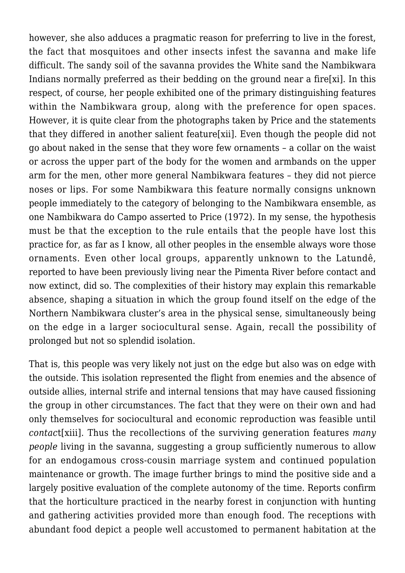however, she also adduces a pragmatic reason for preferring to live in the forest, the fact that mosquitoes and other insects infest the savanna and make life difficult. The sandy soil of the savanna provides the White sand the Nambikwara Indians normally preferred as their bedding on the ground near a fire[xi]. In this respect, of course, her people exhibited one of the primary distinguishing features within the Nambikwara group, along with the preference for open spaces. However, it is quite clear from the photographs taken by Price and the statements that they differed in another salient feature[xii]. Even though the people did not go about naked in the sense that they wore few ornaments – a collar on the waist or across the upper part of the body for the women and armbands on the upper arm for the men, other more general Nambikwara features – they did not pierce noses or lips. For some Nambikwara this feature normally consigns unknown people immediately to the category of belonging to the Nambikwara ensemble, as one Nambikwara do Campo asserted to Price (1972). In my sense, the hypothesis must be that the exception to the rule entails that the people have lost this practice for, as far as I know, all other peoples in the ensemble always wore those ornaments. Even other local groups, apparently unknown to the Latundê, reported to have been previously living near the Pimenta River before contact and now extinct, did so. The complexities of their history may explain this remarkable absence, shaping a situation in which the group found itself on the edge of the Northern Nambikwara cluster's area in the physical sense, simultaneously being on the edge in a larger sociocultural sense. Again, recall the possibility of prolonged but not so splendid isolation.

That is, this people was very likely not just on the edge but also was on edge with the outside. This isolation represented the flight from enemies and the absence of outside allies, internal strife and internal tensions that may have caused fissioning the group in other circumstances. The fact that they were on their own and had only themselves for sociocultural and economic reproduction was feasible until *contac*t[xiii]. Thus the recollections of the surviving generation features *many people* living in the savanna, suggesting a group sufficiently numerous to allow for an endogamous cross-cousin marriage system and continued population maintenance or growth. The image further brings to mind the positive side and a largely positive evaluation of the complete autonomy of the time. Reports confirm that the horticulture practiced in the nearby forest in conjunction with hunting and gathering activities provided more than enough food. The receptions with abundant food depict a people well accustomed to permanent habitation at the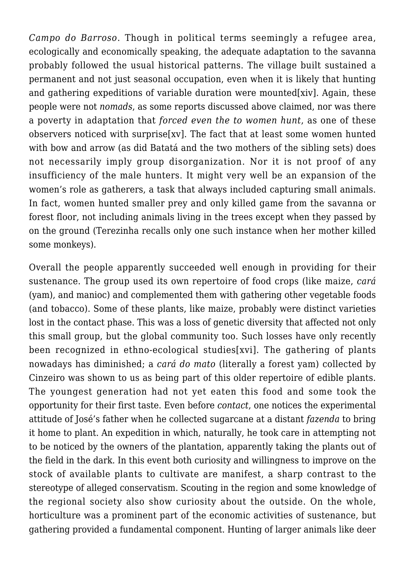*Campo do Barroso*. Though in political terms seemingly a refugee area, ecologically and economically speaking, the adequate adaptation to the savanna probably followed the usual historical patterns. The village built sustained a permanent and not just seasonal occupation, even when it is likely that hunting and gathering expeditions of variable duration were mounted [xiv]. Again, these people were not *nomads*, as some reports discussed above claimed, nor was there a poverty in adaptation that *forced even the to women hunt*, as one of these observers noticed with surprise[xv]. The fact that at least some women hunted with bow and arrow (as did Batatá and the two mothers of the sibling sets) does not necessarily imply group disorganization. Nor it is not proof of any insufficiency of the male hunters. It might very well be an expansion of the women's role as gatherers, a task that always included capturing small animals. In fact, women hunted smaller prey and only killed game from the savanna or forest floor, not including animals living in the trees except when they passed by on the ground (Terezinha recalls only one such instance when her mother killed some monkeys).

Overall the people apparently succeeded well enough in providing for their sustenance. The group used its own repertoire of food crops (like maize, *cará* (yam), and manioc) and complemented them with gathering other vegetable foods (and tobacco). Some of these plants, like maize, probably were distinct varieties lost in the contact phase. This was a loss of genetic diversity that affected not only this small group, but the global community too. Such losses have only recently been recognized in ethno-ecological studies[xvi]. The gathering of plants nowadays has diminished; a *cará do mato* (literally a forest yam) collected by Cinzeiro was shown to us as being part of this older repertoire of edible plants. The youngest generation had not yet eaten this food and some took the opportunity for their first taste. Even before *contact*, one notices the experimental attitude of José's father when he collected sugarcane at a distant *fazenda* to bring it home to plant. An expedition in which, naturally, he took care in attempting not to be noticed by the owners of the plantation, apparently taking the plants out of the field in the dark. In this event both curiosity and willingness to improve on the stock of available plants to cultivate are manifest, a sharp contrast to the stereotype of alleged conservatism. Scouting in the region and some knowledge of the regional society also show curiosity about the outside. On the whole, horticulture was a prominent part of the economic activities of sustenance, but gathering provided a fundamental component. Hunting of larger animals like deer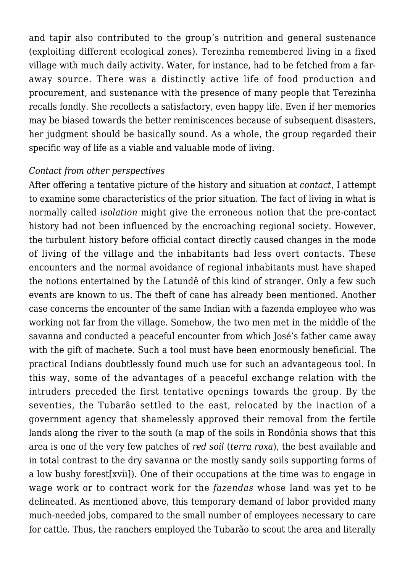and tapir also contributed to the group's nutrition and general sustenance (exploiting different ecological zones). Terezinha remembered living in a fixed village with much daily activity. Water, for instance, had to be fetched from a faraway source. There was a distinctly active life of food production and procurement, and sustenance with the presence of many people that Terezinha recalls fondly. She recollects a satisfactory, even happy life. Even if her memories may be biased towards the better reminiscences because of subsequent disasters, her judgment should be basically sound. As a whole, the group regarded their specific way of life as a viable and valuable mode of living.

## *Contact from other perspectives*

After offering a tentative picture of the history and situation at *contact*, I attempt to examine some characteristics of the prior situation. The fact of living in what is normally called *isolation* might give the erroneous notion that the pre-contact history had not been influenced by the encroaching regional society. However, the turbulent history before official contact directly caused changes in the mode of living of the village and the inhabitants had less overt contacts. These encounters and the normal avoidance of regional inhabitants must have shaped the notions entertained by the Latundê of this kind of stranger. Only a few such events are known to us. The theft of cane has already been mentioned. Another case concerns the encounter of the same Indian with a fazenda employee who was working not far from the village. Somehow, the two men met in the middle of the savanna and conducted a peaceful encounter from which José's father came away with the gift of machete. Such a tool must have been enormously beneficial. The practical Indians doubtlessly found much use for such an advantageous tool. In this way, some of the advantages of a peaceful exchange relation with the intruders preceded the first tentative openings towards the group. By the seventies, the Tubarão settled to the east, relocated by the inaction of a government agency that shamelessly approved their removal from the fertile lands along the river to the south (a map of the soils in Rondônia shows that this area is one of the very few patches of *red soil* (*terra roxa*), the best available and in total contrast to the dry savanna or the mostly sandy soils supporting forms of a low bushy forest[xvii]). One of their occupations at the time was to engage in wage work or to contract work for the *fazendas* whose land was yet to be delineated. As mentioned above, this temporary demand of labor provided many much-needed jobs, compared to the small number of employees necessary to care for cattle. Thus, the ranchers employed the Tubarão to scout the area and literally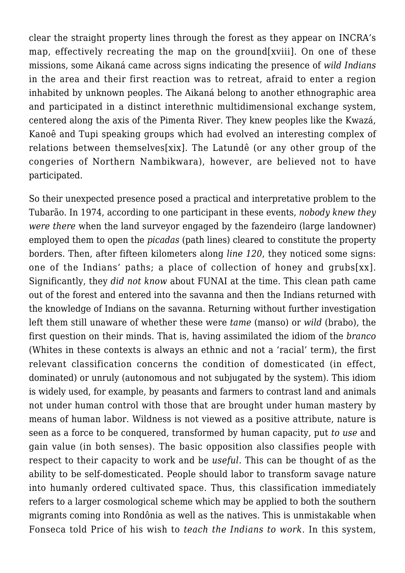clear the straight property lines through the forest as they appear on INCRA's map, effectively recreating the map on the ground[xviii]. On one of these missions, some Aikaná came across signs indicating the presence of *wild Indians* in the area and their first reaction was to retreat, afraid to enter a region inhabited by unknown peoples. The Aikaná belong to another ethnographic area and participated in a distinct interethnic multidimensional exchange system, centered along the axis of the Pimenta River. They knew peoples like the Kwazá, Kanoê and Tupi speaking groups which had evolved an interesting complex of relations between themselves[xix]. The Latundê (or any other group of the congeries of Northern Nambikwara), however, are believed not to have participated.

So their unexpected presence posed a practical and interpretative problem to the Tubarão. In 1974, according to one participant in these events, *nobody knew they were there* when the land surveyor engaged by the fazendeiro (large landowner) employed them to open the *picadas* (path lines) cleared to constitute the property borders. Then, after fifteen kilometers along *line 120*, they noticed some signs: one of the Indians' paths; a place of collection of honey and grubs[xx]. Significantly, they *did not know* about FUNAI at the time. This clean path came out of the forest and entered into the savanna and then the Indians returned with the knowledge of Indians on the savanna. Returning without further investigation left them still unaware of whether these were *tame* (manso) or *wild* (brabo), the first question on their minds. That is, having assimilated the idiom of the *branco* (Whites in these contexts is always an ethnic and not a 'racial' term), the first relevant classification concerns the condition of domesticated (in effect, dominated) or unruly (autonomous and not subjugated by the system). This idiom is widely used, for example, by peasants and farmers to contrast land and animals not under human control with those that are brought under human mastery by means of human labor. Wildness is not viewed as a positive attribute, nature is seen as a force to be conquered, transformed by human capacity, put *to use* and gain value (in both senses). The basic opposition also classifies people with respect to their capacity to work and be *useful*. This can be thought of as the ability to be self-domesticated. People should labor to transform savage nature into humanly ordered cultivated space. Thus, this classification immediately refers to a larger cosmological scheme which may be applied to both the southern migrants coming into Rondônia as well as the natives. This is unmistakable when Fonseca told Price of his wish to *teach the Indians to work*. In this system,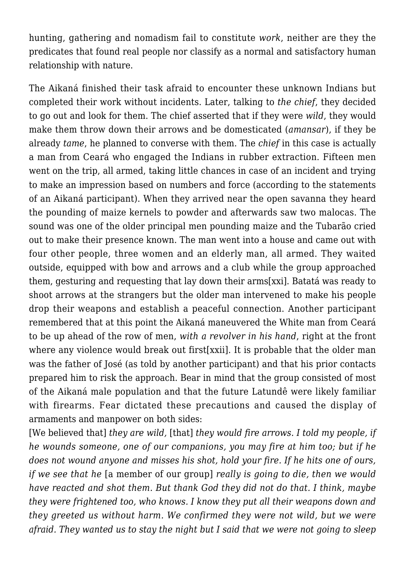hunting, gathering and nomadism fail to constitute *work*, neither are they the predicates that found real people nor classify as a normal and satisfactory human relationship with nature.

The Aikaná finished their task afraid to encounter these unknown Indians but completed their work without incidents. Later, talking to *the chief*, they decided to go out and look for them. The chief asserted that if they were *wild*, they would make them throw down their arrows and be domesticated (*amansar*), if they be already *tame*, he planned to converse with them. The *chief* in this case is actually a man from Ceará who engaged the Indians in rubber extraction. Fifteen men went on the trip, all armed, taking little chances in case of an incident and trying to make an impression based on numbers and force (according to the statements of an Aikaná participant). When they arrived near the open savanna they heard the pounding of maize kernels to powder and afterwards saw two malocas. The sound was one of the older principal men pounding maize and the Tubarão cried out to make their presence known. The man went into a house and came out with four other people, three women and an elderly man, all armed. They waited outside, equipped with bow and arrows and a club while the group approached them, gesturing and requesting that lay down their arms[xxi]. Batatá was ready to shoot arrows at the strangers but the older man intervened to make his people drop their weapons and establish a peaceful connection. Another participant remembered that at this point the Aikaná maneuvered the White man from Ceará to be up ahead of the row of men, *with a revolver in his hand*, right at the front where any violence would break out first[xxii]. It is probable that the older man was the father of José (as told by another participant) and that his prior contacts prepared him to risk the approach. Bear in mind that the group consisted of most of the Aikaná male population and that the future Latundê were likely familiar with firearms. Fear dictated these precautions and caused the display of armaments and manpower on both sides:

[We believed that] *they are wild,* [that] *they would fire arrows. I told my people, if he wounds someone, one of our companions, you may fire at him too; but if he does not wound anyone and misses his shot, hold your fire. If he hits one of ours, if we see that he* [a member of our group] *really is going to die, then we would have reacted and shot them. But thank God they did not do that. I think, maybe they were frightened too, who knows. I know they put all their weapons down and they greeted us without harm. We confirmed they were not wild, but we were afraid. They wanted us to stay the night but I said that we were not going to sleep*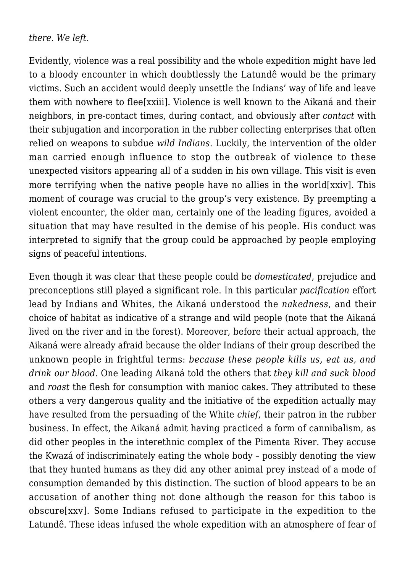## *there. We left*.

Evidently, violence was a real possibility and the whole expedition might have led to a bloody encounter in which doubtlessly the Latundê would be the primary victims. Such an accident would deeply unsettle the Indians' way of life and leave them with nowhere to flee[xxiii]. Violence is well known to the Aikaná and their neighbors, in pre-contact times, during contact, and obviously after *contact* with their subjugation and incorporation in the rubber collecting enterprises that often relied on weapons to subdue *wild Indians*. Luckily, the intervention of the older man carried enough influence to stop the outbreak of violence to these unexpected visitors appearing all of a sudden in his own village. This visit is even more terrifying when the native people have no allies in the world[xxiv]. This moment of courage was crucial to the group's very existence. By preempting a violent encounter, the older man, certainly one of the leading figures, avoided a situation that may have resulted in the demise of his people. His conduct was interpreted to signify that the group could be approached by people employing signs of peaceful intentions.

Even though it was clear that these people could be *domesticated*, prejudice and preconceptions still played a significant role. In this particular *pacification* effort lead by Indians and Whites, the Aikaná understood the *nakedness*, and their choice of habitat as indicative of a strange and wild people (note that the Aikaná lived on the river and in the forest). Moreover, before their actual approach, the Aikaná were already afraid because the older Indians of their group described the unknown people in frightful terms: *because these people kills us, eat us, and drink our blood*. One leading Aikaná told the others that *they kill and suck blood* and *roast* the flesh for consumption with manioc cakes. They attributed to these others a very dangerous quality and the initiative of the expedition actually may have resulted from the persuading of the White *chief*, their patron in the rubber business. In effect, the Aikaná admit having practiced a form of cannibalism, as did other peoples in the interethnic complex of the Pimenta River. They accuse the Kwazá of indiscriminately eating the whole body – possibly denoting the view that they hunted humans as they did any other animal prey instead of a mode of consumption demanded by this distinction. The suction of blood appears to be an accusation of another thing not done although the reason for this taboo is obscure[xxv]. Some Indians refused to participate in the expedition to the Latundê. These ideas infused the whole expedition with an atmosphere of fear of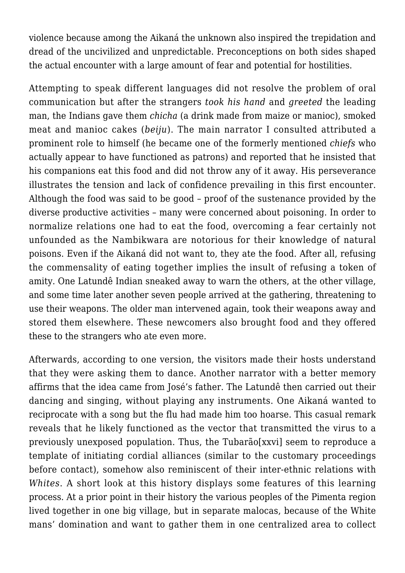violence because among the Aikaná the unknown also inspired the trepidation and dread of the uncivilized and unpredictable. Preconceptions on both sides shaped the actual encounter with a large amount of fear and potential for hostilities.

Attempting to speak different languages did not resolve the problem of oral communication but after the strangers *took his hand* and *greeted* the leading man, the Indians gave them *chicha* (a drink made from maize or manioc), smoked meat and manioc cakes (*beiju*). The main narrator I consulted attributed a prominent role to himself (he became one of the formerly mentioned *chiefs* who actually appear to have functioned as patrons) and reported that he insisted that his companions eat this food and did not throw any of it away. His perseverance illustrates the tension and lack of confidence prevailing in this first encounter. Although the food was said to be good – proof of the sustenance provided by the diverse productive activities – many were concerned about poisoning. In order to normalize relations one had to eat the food, overcoming a fear certainly not unfounded as the Nambikwara are notorious for their knowledge of natural poisons. Even if the Aikaná did not want to, they ate the food. After all, refusing the commensality of eating together implies the insult of refusing a token of amity. One Latundê Indian sneaked away to warn the others, at the other village, and some time later another seven people arrived at the gathering, threatening to use their weapons. The older man intervened again, took their weapons away and stored them elsewhere. These newcomers also brought food and they offered these to the strangers who ate even more.

Afterwards, according to one version, the visitors made their hosts understand that they were asking them to dance. Another narrator with a better memory affirms that the idea came from José's father. The Latundê then carried out their dancing and singing, without playing any instruments. One Aikaná wanted to reciprocate with a song but the flu had made him too hoarse. This casual remark reveals that he likely functioned as the vector that transmitted the virus to a previously unexposed population. Thus, the Tubarão[xxvi] seem to reproduce a template of initiating cordial alliances (similar to the customary proceedings before contact), somehow also reminiscent of their inter-ethnic relations with *Whites*. A short look at this history displays some features of this learning process. At a prior point in their history the various peoples of the Pimenta region lived together in one big village, but in separate malocas, because of the White mans' domination and want to gather them in one centralized area to collect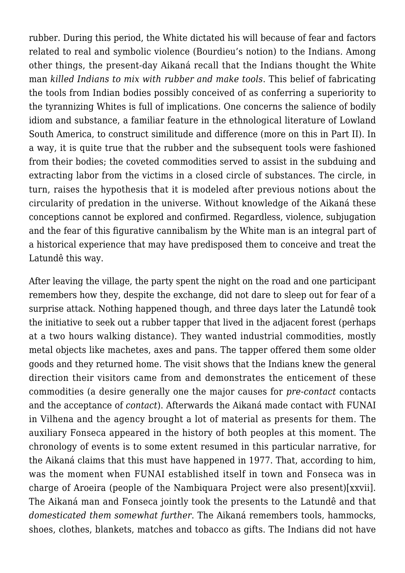rubber. During this period, the White dictated his will because of fear and factors related to real and symbolic violence (Bourdieu's notion) to the Indians. Among other things, the present-day Aikaná recall that the Indians thought the White man *killed Indians to mix with rubber and make tools*. This belief of fabricating the tools from Indian bodies possibly conceived of as conferring a superiority to the tyrannizing Whites is full of implications. One concerns the salience of bodily idiom and substance, a familiar feature in the ethnological literature of Lowland South America, to construct similitude and difference (more on this in Part II). In a way, it is quite true that the rubber and the subsequent tools were fashioned from their bodies; the coveted commodities served to assist in the subduing and extracting labor from the victims in a closed circle of substances. The circle, in turn, raises the hypothesis that it is modeled after previous notions about the circularity of predation in the universe. Without knowledge of the Aikaná these conceptions cannot be explored and confirmed. Regardless, violence, subjugation and the fear of this figurative cannibalism by the White man is an integral part of a historical experience that may have predisposed them to conceive and treat the Latundê this way.

After leaving the village, the party spent the night on the road and one participant remembers how they, despite the exchange, did not dare to sleep out for fear of a surprise attack. Nothing happened though, and three days later the Latundê took the initiative to seek out a rubber tapper that lived in the adjacent forest (perhaps at a two hours walking distance). They wanted industrial commodities, mostly metal objects like machetes, axes and pans. The tapper offered them some older goods and they returned home. The visit shows that the Indians knew the general direction their visitors came from and demonstrates the enticement of these commodities (a desire generally one the major causes for *pre-contact* contacts and the acceptance of *contact*). Afterwards the Aikaná made contact with FUNAI in Vilhena and the agency brought a lot of material as presents for them. The auxiliary Fonseca appeared in the history of both peoples at this moment. The chronology of events is to some extent resumed in this particular narrative, for the Aikaná claims that this must have happened in 1977. That, according to him, was the moment when FUNAI established itself in town and Fonseca was in charge of Aroeira (people of the Nambiquara Project were also present)[xxvii]. The Aikaná man and Fonseca jointly took the presents to the Latundê and that *domesticated them somewhat further*. The Aikaná remembers tools, hammocks, shoes, clothes, blankets, matches and tobacco as gifts. The Indians did not have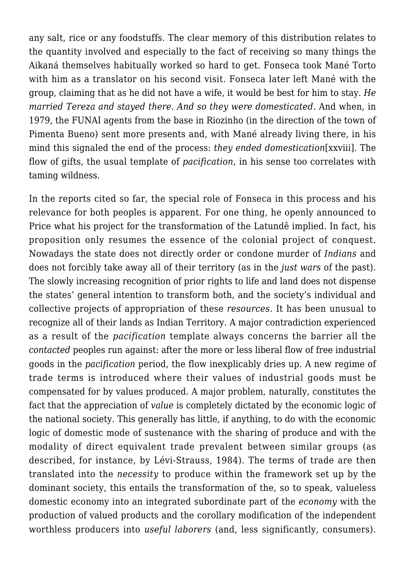any salt, rice or any foodstuffs. The clear memory of this distribution relates to the quantity involved and especially to the fact of receiving so many things the Aikaná themselves habitually worked so hard to get. Fonseca took Mané Torto with him as a translator on his second visit. Fonseca later left Mané with the group, claiming that as he did not have a wife, it would be best for him to stay. *He married Tereza and stayed there. And so they were domesticated*. And when, in 1979, the FUNAI agents from the base in Riozinho (in the direction of the town of Pimenta Bueno) sent more presents and, with Mané already living there, in his mind this signaled the end of the process: *they ended domestication*[xxviii]. The flow of gifts, the usual template of *pacification*, in his sense too correlates with taming wildness.

In the reports cited so far, the special role of Fonseca in this process and his relevance for both peoples is apparent. For one thing, he openly announced to Price what his project for the transformation of the Latundê implied. In fact, his proposition only resumes the essence of the colonial project of conquest. Nowadays the state does not directly order or condone murder of *Indians* and does not forcibly take away all of their territory (as in the *just wars* of the past). The slowly increasing recognition of prior rights to life and land does not dispense the states' general intention to transform both, and the society's individual and collective projects of appropriation of these *resources*. It has been unusual to recognize all of their lands as Indian Territory. A major contradiction experienced as a result of the *pacification* template always concerns the barrier all the *contacted* peoples run against: after the more or less liberal flow of free industrial goods in the *pacification* period, the flow inexplicably dries up. A new regime of trade terms is introduced where their values of industrial goods must be compensated for by values produced. A major problem, naturally, constitutes the fact that the appreciation of *value* is completely dictated by the economic logic of the national society. This generally has little, if anything, to do with the economic logic of domestic mode of sustenance with the sharing of produce and with the modality of direct equivalent trade prevalent between similar groups (as described, for instance, by Lévi-Strauss, 1984). The terms of trade are then translated into the *necessity* to produce within the framework set up by the dominant society, this entails the transformation of the, so to speak, valueless domestic economy into an integrated subordinate part of the *economy* with the production of valued products and the corollary modification of the independent worthless producers into *useful laborers* (and, less significantly, consumers).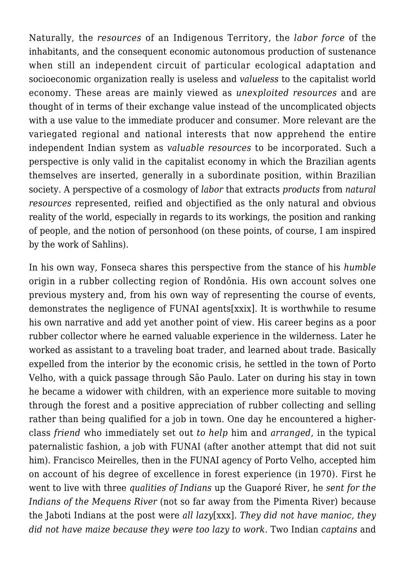Naturally, the *resources* of an Indigenous Territory, the *labor force* of the inhabitants, and the consequent economic autonomous production of sustenance when still an independent circuit of particular ecological adaptation and socioeconomic organization really is useless and *valueless* to the capitalist world economy. These areas are mainly viewed as *unexploited resources* and are thought of in terms of their exchange value instead of the uncomplicated objects with a use value to the immediate producer and consumer. More relevant are the variegated regional and national interests that now apprehend the entire independent Indian system as *valuable resources* to be incorporated. Such a perspective is only valid in the capitalist economy in which the Brazilian agents themselves are inserted, generally in a subordinate position, within Brazilian society. A perspective of a cosmology of *labor* that extracts *products* from *natural resources* represented, reified and objectified as the only natural and obvious reality of the world, especially in regards to its workings, the position and ranking of people, and the notion of personhood (on these points, of course, I am inspired by the work of Sahlins).

In his own way, Fonseca shares this perspective from the stance of his *humble* origin in a rubber collecting region of Rondônia. His own account solves one previous mystery and, from his own way of representing the course of events, demonstrates the negligence of FUNAI agents[xxix]. It is worthwhile to resume his own narrative and add yet another point of view. His career begins as a poor rubber collector where he earned valuable experience in the wilderness. Later he worked as assistant to a traveling boat trader, and learned about trade. Basically expelled from the interior by the economic crisis, he settled in the town of Porto Velho, with a quick passage through São Paulo. Later on during his stay in town he became a widower with children, with an experience more suitable to moving through the forest and a positive appreciation of rubber collecting and selling rather than being qualified for a job in town. One day he encountered a higherclass *friend* who immediately set out *to help* him and *arranged*, in the typical paternalistic fashion, a job with FUNAI (after another attempt that did not suit him). Francisco Meirelles, then in the FUNAI agency of Porto Velho, accepted him on account of his degree of excellence in forest experience (in 1970). First he went to live with three *qualities of Indians* up the Guaporé River, he *sent for the Indians of the Mequens River* (not so far away from the Pimenta River) because the Jaboti Indians at the post were *all lazy*[xxx]. *They did not have manioc, they did not have maize because they were too lazy to work*. Two Indian *captains* and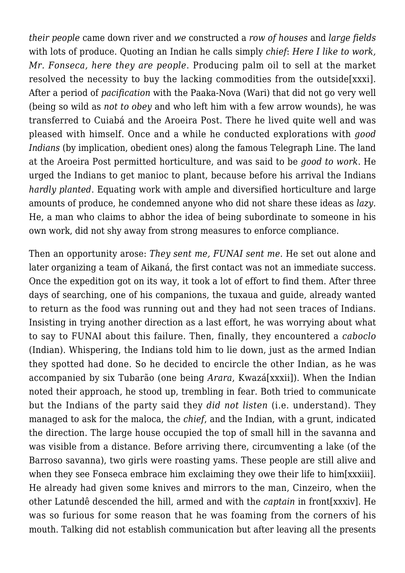*their people* came down river and *we* constructed a *row of houses* and *large fields* with lots of produce. Quoting an Indian he calls simply *chief*: *Here I like to work, Mr. Fonseca, here they are people*. Producing palm oil to sell at the market resolved the necessity to buy the lacking commodities from the outside[xxxi]. After a period of *pacification* with the Paaka-Nova (Wari) that did not go very well (being so wild as *not to obey* and who left him with a few arrow wounds), he was transferred to Cuiabá and the Aroeira Post. There he lived quite well and was pleased with himself. Once and a while he conducted explorations with *good Indians* (by implication, obedient ones) along the famous Telegraph Line. The land at the Aroeira Post permitted horticulture, and was said to be *good to work*. He urged the Indians to get manioc to plant, because before his arrival the Indians *hardly planted*. Equating work with ample and diversified horticulture and large amounts of produce, he condemned anyone who did not share these ideas as *lazy*. He, a man who claims to abhor the idea of being subordinate to someone in his own work, did not shy away from strong measures to enforce compliance.

Then an opportunity arose: *They sent me, FUNAI sent me*. He set out alone and later organizing a team of Aikaná, the first contact was not an immediate success. Once the expedition got on its way, it took a lot of effort to find them. After three days of searching, one of his companions, the tuxaua and guide, already wanted to return as the food was running out and they had not seen traces of Indians. Insisting in trying another direction as a last effort, he was worrying about what to say to FUNAI about this failure. Then, finally, they encountered a *caboclo* (Indian). Whispering, the Indians told him to lie down, just as the armed Indian they spotted had done. So he decided to encircle the other Indian, as he was accompanied by six Tubarão (one being *Arara*, Kwazá[xxxii]). When the Indian noted their approach, he stood up, trembling in fear. Both tried to communicate but the Indians of the party said they *did not listen* (i.e. understand). They managed to ask for the maloca, the *chief*, and the Indian, with a grunt, indicated the direction. The large house occupied the top of small hill in the savanna and was visible from a distance. Before arriving there, circumventing a lake (of the Barroso savanna), two girls were roasting yams. These people are still alive and when they see Fonseca embrace him exclaiming they owe their life to him[xxxiii]. He already had given some knives and mirrors to the man, Cinzeiro, when the other Latundê descended the hill, armed and with the *captain* in front[xxxiv]. He was so furious for some reason that he was foaming from the corners of his mouth. Talking did not establish communication but after leaving all the presents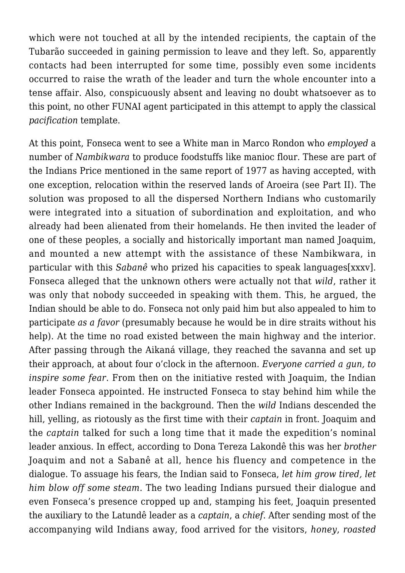which were not touched at all by the intended recipients, the captain of the Tubarão succeeded in gaining permission to leave and they left. So, apparently contacts had been interrupted for some time, possibly even some incidents occurred to raise the wrath of the leader and turn the whole encounter into a tense affair. Also, conspicuously absent and leaving no doubt whatsoever as to this point, no other FUNAI agent participated in this attempt to apply the classical *pacification* template.

At this point, Fonseca went to see a White man in Marco Rondon who *employed* a number of *Nambikwara* to produce foodstuffs like manioc flour. These are part of the Indians Price mentioned in the same report of 1977 as having accepted, with one exception, relocation within the reserved lands of Aroeira (see Part II). The solution was proposed to all the dispersed Northern Indians who customarily were integrated into a situation of subordination and exploitation, and who already had been alienated from their homelands. He then invited the leader of one of these peoples, a socially and historically important man named Joaquim, and mounted a new attempt with the assistance of these Nambikwara, in particular with this *Sabanê* who prized his capacities to speak languages[xxxv]. Fonseca alleged that the unknown others were actually not that *wild*, rather it was only that nobody succeeded in speaking with them. This, he argued, the Indian should be able to do. Fonseca not only paid him but also appealed to him to participate *as a favor* (presumably because he would be in dire straits without his help). At the time no road existed between the main highway and the interior. After passing through the Aikaná village, they reached the savanna and set up their approach, at about four o'clock in the afternoon. *Everyone carried a gun, to inspire some fear*. From then on the initiative rested with Joaquim, the Indian leader Fonseca appointed. He instructed Fonseca to stay behind him while the other Indians remained in the background. Then the *wild* Indians descended the hill, yelling, as riotously as the first time with their *captain* in front. Joaquim and the *captain* talked for such a long time that it made the expedition's nominal leader anxious. In effect, according to Dona Tereza Lakondê this was her *brother* Joaquim and not a Sabanê at all, hence his fluency and competence in the dialogue. To assuage his fears, the Indian said to Fonseca, *let him grow tired, let him blow off some steam*. The two leading Indians pursued their dialogue and even Fonseca's presence cropped up and, stamping his feet, Joaquin presented the auxiliary to the Latundê leader as a *captain*, a *chief*. After sending most of the accompanying wild Indians away, food arrived for the visitors, *honey*, *roasted*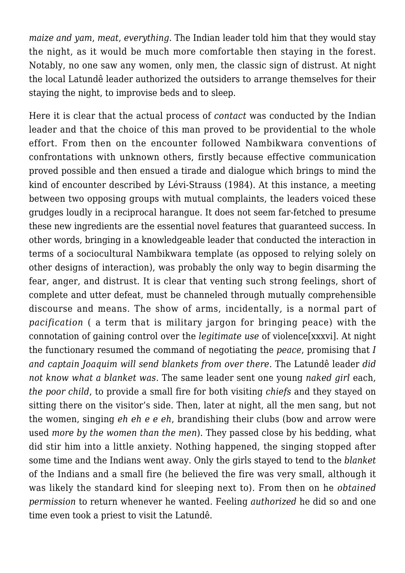*maize and yam*, *meat*, *everything*. The Indian leader told him that they would stay the night, as it would be much more comfortable then staying in the forest. Notably, no one saw any women, only men, the classic sign of distrust. At night the local Latundê leader authorized the outsiders to arrange themselves for their staying the night, to improvise beds and to sleep.

Here it is clear that the actual process of *contact* was conducted by the Indian leader and that the choice of this man proved to be providential to the whole effort. From then on the encounter followed Nambikwara conventions of confrontations with unknown others, firstly because effective communication proved possible and then ensued a tirade and dialogue which brings to mind the kind of encounter described by Lévi-Strauss (1984). At this instance, a meeting between two opposing groups with mutual complaints, the leaders voiced these grudges loudly in a reciprocal harangue. It does not seem far-fetched to presume these new ingredients are the essential novel features that guaranteed success. In other words, bringing in a knowledgeable leader that conducted the interaction in terms of a sociocultural Nambikwara template (as opposed to relying solely on other designs of interaction), was probably the only way to begin disarming the fear, anger, and distrust. It is clear that venting such strong feelings, short of complete and utter defeat, must be channeled through mutually comprehensible discourse and means. The show of arms, incidentally, is a normal part of *pacification* ( a term that is military jargon for bringing peace) with the connotation of gaining control over the *legitimate use* of violence[xxxvi]. At night the functionary resumed the command of negotiating the *peace*, promising that *I and captain Joaquim will send blankets from over there*. The Latundê leader *did not know what a blanket was*. The same leader sent one young *naked girl* each, *the poor child*, to provide a small fire for both visiting *chiefs* and they stayed on sitting there on the visitor's side. Then, later at night, all the men sang, but not the women, singing *eh eh e e eh*, brandishing their clubs (bow and arrow were used *more by the women than the men*). They passed close by his bedding, what did stir him into a little anxiety. Nothing happened, the singing stopped after some time and the Indians went away. Only the girls stayed to tend to the *blanket* of the Indians and a small fire (he believed the fire was very small, although it was likely the standard kind for sleeping next to). From then on he *obtained permission* to return whenever he wanted. Feeling *authorized* he did so and one time even took a priest to visit the Latundê.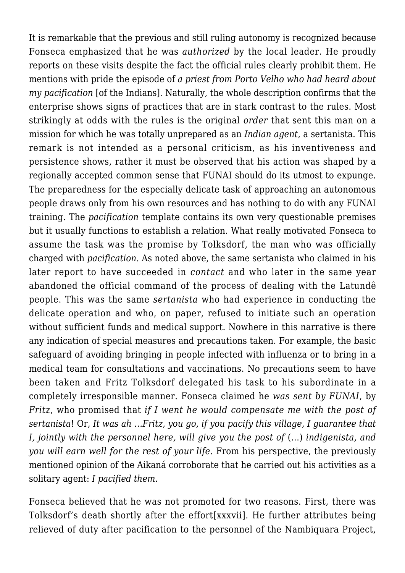It is remarkable that the previous and still ruling autonomy is recognized because Fonseca emphasized that he was *authorized* by the local leader. He proudly reports on these visits despite the fact the official rules clearly prohibit them. He mentions with pride the episode of *a priest from Porto Velho who had heard about my pacification* [of the Indians]. Naturally, the whole description confirms that the enterprise shows signs of practices that are in stark contrast to the rules. Most strikingly at odds with the rules is the original *order* that sent this man on a mission for which he was totally unprepared as an *Indian agent*, a sertanista. This remark is not intended as a personal criticism, as his inventiveness and persistence shows, rather it must be observed that his action was shaped by a regionally accepted common sense that FUNAI should do its utmost to expunge. The preparedness for the especially delicate task of approaching an autonomous people draws only from his own resources and has nothing to do with any FUNAI training. The *pacification* template contains its own very questionable premises but it usually functions to establish a relation. What really motivated Fonseca to assume the task was the promise by Tolksdorf, the man who was officially charged with *pacification*. As noted above, the same sertanista who claimed in his later report to have succeeded in *contact* and who later in the same year abandoned the official command of the process of dealing with the Latundê people. This was the same *sertanista* who had experience in conducting the delicate operation and who, on paper, refused to initiate such an operation without sufficient funds and medical support. Nowhere in this narrative is there any indication of special measures and precautions taken. For example, the basic safeguard of avoiding bringing in people infected with influenza or to bring in a medical team for consultations and vaccinations. No precautions seem to have been taken and Fritz Tolksdorf delegated his task to his subordinate in a completely irresponsible manner. Fonseca claimed he *was sent by FUNAI*, by *Fritz*, who promised that *if I went he would compensate me with the post of sertanista*! Or, *It was ah …Fritz*, *you go, if you pacify this village, I guarantee that I*, jointly with the personnel here, will give you the post of (...) indigenista, and *you will earn well for the rest of your life*. From his perspective, the previously mentioned opinion of the Aikaná corroborate that he carried out his activities as a solitary agent: *I pacified them*.

Fonseca believed that he was not promoted for two reasons. First, there was Tolksdorf's death shortly after the effort[xxxvii]. He further attributes being relieved of duty after pacification to the personnel of the Nambiquara Project,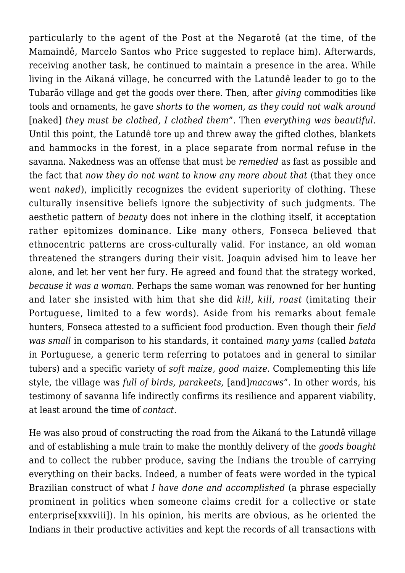particularly to the agent of the Post at the Negarotê (at the time, of the Mamaindê, Marcelo Santos who Price suggested to replace him). Afterwards, receiving another task, he continued to maintain a presence in the area. While living in the Aikaná village, he concurred with the Latundê leader to go to the Tubarão village and get the goods over there. Then, after *giving* commodities like tools and ornaments, he gave *shorts to the women, as they could not walk around* [naked] *they must be clothed, I clothed them*". Then *everything was beautiful*. Until this point, the Latundê tore up and threw away the gifted clothes, blankets and hammocks in the forest, in a place separate from normal refuse in the savanna. Nakedness was an offense that must be *remedied* as fast as possible and the fact that *now they do not want to know any more about that* (that they once went *naked*), implicitly recognizes the evident superiority of clothing. These culturally insensitive beliefs ignore the subjectivity of such judgments. The aesthetic pattern of *beauty* does not inhere in the clothing itself, it acceptation rather epitomizes dominance. Like many others, Fonseca believed that ethnocentric patterns are cross-culturally valid. For instance, an old woman threatened the strangers during their visit. Joaquin advised him to leave her alone, and let her vent her fury. He agreed and found that the strategy worked, *because it was a woman*. Perhaps the same woman was renowned for her hunting and later she insisted with him that she did *kill, kill*, *roast* (imitating their Portuguese, limited to a few words). Aside from his remarks about female hunters, Fonseca attested to a sufficient food production. Even though their *field was small* in comparison to his standards, it contained *many yams* (called *batata* in Portuguese, a generic term referring to potatoes and in general to similar tubers) and a specific variety of *soft maize, good maize*. Complementing this life style, the village was *full of birds, parakeets,* [and]*macaws*". In other words, his testimony of savanna life indirectly confirms its resilience and apparent viability, at least around the time of *contact*.

He was also proud of constructing the road from the Aikaná to the Latundê village and of establishing a mule train to make the monthly delivery of the *goods bought* and to collect the rubber produce, saving the Indians the trouble of carrying everything on their backs. Indeed, a number of feats were worded in the typical Brazilian construct of what *I have done and accomplished* (a phrase especially prominent in politics when someone claims credit for a collective or state enterprise[xxxviii]). In his opinion, his merits are obvious, as he oriented the Indians in their productive activities and kept the records of all transactions with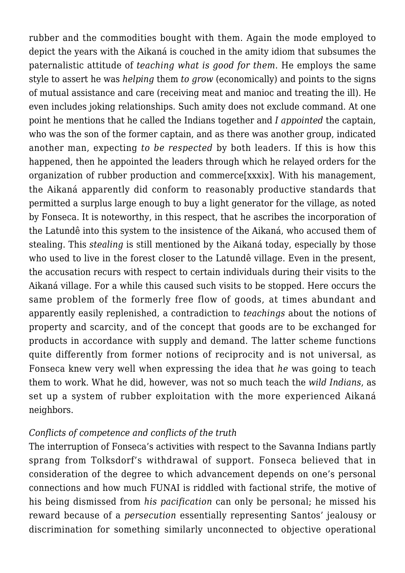rubber and the commodities bought with them. Again the mode employed to depict the years with the Aikaná is couched in the amity idiom that subsumes the paternalistic attitude of *teaching what is good for them*. He employs the same style to assert he was *helping* them *to grow* (economically) and points to the signs of mutual assistance and care (receiving meat and manioc and treating the ill). He even includes joking relationships. Such amity does not exclude command. At one point he mentions that he called the Indians together and *I appointed* the captain, who was the son of the former captain, and as there was another group, indicated another man, expecting *to be respected* by both leaders. If this is how this happened, then he appointed the leaders through which he relayed orders for the organization of rubber production and commerce[xxxix]. With his management, the Aikaná apparently did conform to reasonably productive standards that permitted a surplus large enough to buy a light generator for the village, as noted by Fonseca. It is noteworthy, in this respect, that he ascribes the incorporation of the Latundê into this system to the insistence of the Aikaná, who accused them of stealing. This *stealing* is still mentioned by the Aikaná today, especially by those who used to live in the forest closer to the Latundê village. Even in the present, the accusation recurs with respect to certain individuals during their visits to the Aikaná village. For a while this caused such visits to be stopped. Here occurs the same problem of the formerly free flow of goods, at times abundant and apparently easily replenished, a contradiction to *teachings* about the notions of property and scarcity, and of the concept that goods are to be exchanged for products in accordance with supply and demand. The latter scheme functions quite differently from former notions of reciprocity and is not universal, as Fonseca knew very well when expressing the idea that *he* was going to teach them to work. What he did, however, was not so much teach the *wild Indians*, as set up a system of rubber exploitation with the more experienced Aikaná neighbors.

### *Conflicts of competence and conflicts of the truth*

The interruption of Fonseca's activities with respect to the Savanna Indians partly sprang from Tolksdorf's withdrawal of support. Fonseca believed that in consideration of the degree to which advancement depends on one's personal connections and how much FUNAI is riddled with factional strife, the motive of his being dismissed from *his pacification* can only be personal; he missed his reward because of a *persecution* essentially representing Santos' jealousy or discrimination for something similarly unconnected to objective operational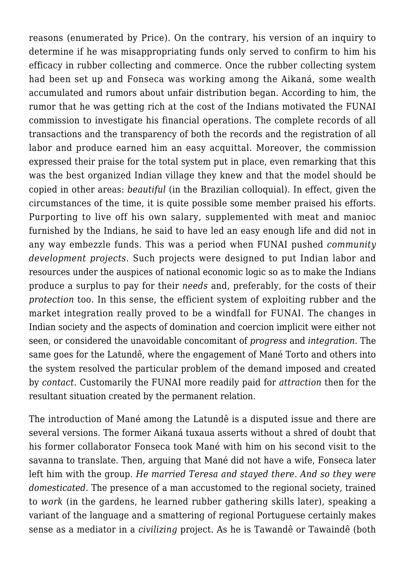reasons (enumerated by Price). On the contrary, his version of an inquiry to determine if he was misappropriating funds only served to confirm to him his efficacy in rubber collecting and commerce. Once the rubber collecting system had been set up and Fonseca was working among the Aikaná, some wealth accumulated and rumors about unfair distribution began. According to him, the rumor that he was getting rich at the cost of the Indians motivated the FUNAI commission to investigate his financial operations. The complete records of all transactions and the transparency of both the records and the registration of all labor and produce earned him an easy acquittal. Moreover, the commission expressed their praise for the total system put in place, even remarking that this was the best organized Indian village they knew and that the model should be copied in other areas: *beautiful* (in the Brazilian colloquial). In effect, given the circumstances of the time, it is quite possible some member praised his efforts. Purporting to live off his own salary, supplemented with meat and manioc furnished by the Indians, he said to have led an easy enough life and did not in any way embezzle funds. This was a period when FUNAI pushed *community development projects*. Such projects were designed to put Indian labor and resources under the auspices of national economic logic so as to make the Indians produce a surplus to pay for their *needs* and, preferably, for the costs of their *protection* too. In this sense, the efficient system of exploiting rubber and the market integration really proved to be a windfall for FUNAI. The changes in Indian society and the aspects of domination and coercion implicit were either not seen, or considered the unavoidable concomitant of *progress* and *integration*. The same goes for the Latundê, where the engagement of Mané Torto and others into the system resolved the particular problem of the demand imposed and created by *contact*. Customarily the FUNAI more readily paid for *attraction* then for the resultant situation created by the permanent relation.

The introduction of Mané among the Latundê is a disputed issue and there are several versions. The former Aikaná tuxaua asserts without a shred of doubt that his former collaborator Fonseca took Mané with him on his second visit to the savanna to translate. Then, arguing that Mané did not have a wife, Fonseca later left him with the group. *He married Teresa and stayed there. And so they were domesticated*. The presence of a man accustomed to the regional society, trained to *work* (in the gardens, he learned rubber gathering skills later), speaking a variant of the language and a smattering of regional Portuguese certainly makes sense as a mediator in a *civilizing* project. As he is Tawandê or Tawaindê (both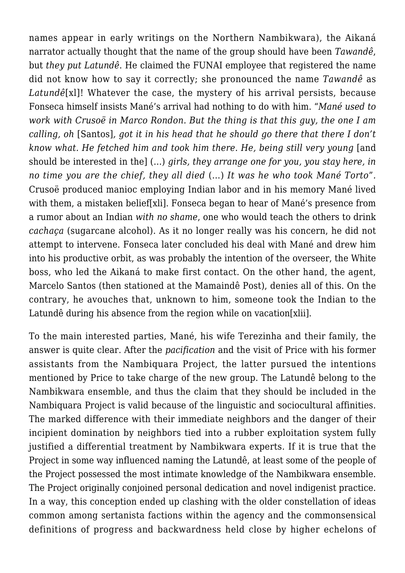names appear in early writings on the Northern Nambikwara), the Aikaná narrator actually thought that the name of the group should have been *Tawandê*, but *they put Latundê*. He claimed the FUNAI employee that registered the name did not know how to say it correctly; she pronounced the name *Tawandê* as *Latundê*[xl]! Whatever the case, the mystery of his arrival persists, because Fonseca himself insists Mané's arrival had nothing to do with him. "*Mané used to work with Crusoë in Marco Rondon. But the thing is that this guy, the one I am calling, oh* [Santos]*, got it in his head that he should go there that there I don't know what. He fetched him and took him there. He, being still very young land* should be interested in the] (…) *girls, they arrange one for you, you stay here, in no time you are the chief, they all died* (…) *It was he who took Mané Torto*"*.* Crusoë produced manioc employing Indian labor and in his memory Mané lived with them, a mistaken belief[xli]. Fonseca began to hear of Mané's presence from a rumor about an Indian *with no shame*, one who would teach the others to drink *cachaça* (sugarcane alcohol). As it no longer really was his concern, he did not attempt to intervene. Fonseca later concluded his deal with Mané and drew him into his productive orbit, as was probably the intention of the overseer, the White boss, who led the Aikaná to make first contact. On the other hand, the agent, Marcelo Santos (then stationed at the Mamaindê Post), denies all of this. On the contrary, he avouches that, unknown to him, someone took the Indian to the Latundê during his absence from the region while on vacation[xlii].

To the main interested parties, Mané, his wife Terezinha and their family, the answer is quite clear. After the *pacification* and the visit of Price with his former assistants from the Nambiquara Project, the latter pursued the intentions mentioned by Price to take charge of the new group. The Latundê belong to the Nambikwara ensemble, and thus the claim that they should be included in the Nambiquara Project is valid because of the linguistic and sociocultural affinities. The marked difference with their immediate neighbors and the danger of their incipient domination by neighbors tied into a rubber exploitation system fully justified a differential treatment by Nambikwara experts. If it is true that the Project in some way influenced naming the Latundê, at least some of the people of the Project possessed the most intimate knowledge of the Nambikwara ensemble. The Project originally conjoined personal dedication and novel indigenist practice. In a way, this conception ended up clashing with the older constellation of ideas common among sertanista factions within the agency and the commonsensical definitions of progress and backwardness held close by higher echelons of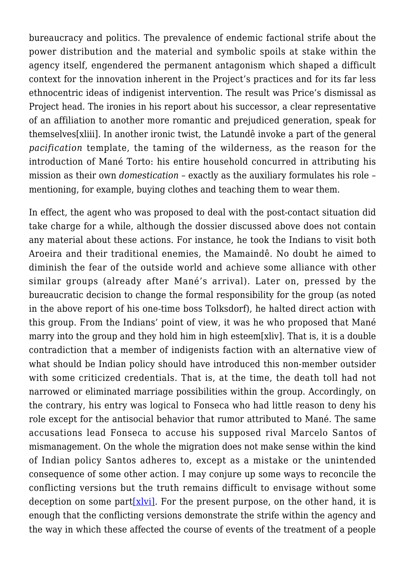bureaucracy and politics. The prevalence of endemic factional strife about the power distribution and the material and symbolic spoils at stake within the agency itself, engendered the permanent antagonism which shaped a difficult context for the innovation inherent in the Project's practices and for its far less ethnocentric ideas of indigenist intervention. The result was Price's dismissal as Project head. The ironies in his report about his successor, a clear representative of an affiliation to another more romantic and prejudiced generation, speak for themselves[xliii]. In another ironic twist, the Latundê invoke a part of the general *pacification* template, the taming of the wilderness, as the reason for the introduction of Mané Torto: his entire household concurred in attributing his mission as their own *domestication* – exactly as the auxiliary formulates his role – mentioning, for example, buying clothes and teaching them to wear them.

In effect, the agent who was proposed to deal with the post-contact situation did take charge for a while, although the dossier discussed above does not contain any material about these actions. For instance, he took the Indians to visit both Aroeira and their traditional enemies, the Mamaindê. No doubt he aimed to diminish the fear of the outside world and achieve some alliance with other similar groups (already after Mané's arrival). Later on, pressed by the bureaucratic decision to change the formal responsibility for the group (as noted in the above report of his one-time boss Tolksdorf), he halted direct action with this group. From the Indians' point of view, it was he who proposed that Mané marry into the group and they hold him in high esteem[xliv]. That is, it is a double contradiction that a member of indigenists faction with an alternative view of what should be Indian policy should have introduced this non-member outsider with some criticized credentials. That is, at the time, the death toll had not narrowed or eliminated marriage possibilities within the group. Accordingly, on the contrary, his entry was logical to Fonseca who had little reason to deny his role except for the antisocial behavior that rumor attributed to Mané. The same accusations lead Fonseca to accuse his supposed rival Marcelo Santos of mismanagement. On the whole the migration does not make sense within the kind of Indian policy Santos adheres to, except as a mistake or the unintended consequence of some other action. I may conjure up some ways to reconcile the conflicting versions but the truth remains difficult to envisage without some deception on some part  $x|$ vi, For the present purpose, on the other hand, it is enough that the conflicting versions demonstrate the strife within the agency and the way in which these affected the course of events of the treatment of a people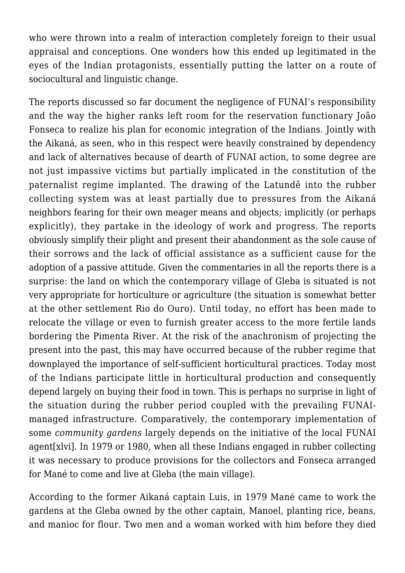who were thrown into a realm of interaction completely foreign to their usual appraisal and conceptions. One wonders how this ended up legitimated in the eyes of the Indian protagonists, essentially putting the latter on a route of sociocultural and linguistic change.

The reports discussed so far document the negligence of FUNAI's responsibility and the way the higher ranks left room for the reservation functionary João Fonseca to realize his plan for economic integration of the Indians. Jointly with the Aikaná, as seen, who in this respect were heavily constrained by dependency and lack of alternatives because of dearth of FUNAI action, to some degree are not just impassive victims but partially implicated in the constitution of the paternalist regime implanted. The drawing of the Latundê into the rubber collecting system was at least partially due to pressures from the Aikaná neighbors fearing for their own meager means and objects; implicitly (or perhaps explicitly), they partake in the ideology of work and progress. The reports obviously simplify their plight and present their abandonment as the sole cause of their sorrows and the lack of official assistance as a sufficient cause for the adoption of a passive attitude. Given the commentaries in all the reports there is a surprise: the land on which the contemporary village of Gleba is situated is not very appropriate for horticulture or agriculture (the situation is somewhat better at the other settlement Rio do Ouro). Until today, no effort has been made to relocate the village or even to furnish greater access to the more fertile lands bordering the Pimenta River. At the risk of the anachronism of projecting the present into the past, this may have occurred because of the rubber regime that downplayed the importance of self-sufficient horticultural practices. Today most of the Indians participate little in horticultural production and consequently depend largely on buying their food in town. This is perhaps no surprise in light of the situation during the rubber period coupled with the prevailing FUNAImanaged infrastructure. Comparatively, the contemporary implementation of some *community gardens* largely depends on the initiative of the local FUNAI agent[xlvi]. In 1979 or 1980, when all these Indians engaged in rubber collecting it was necessary to produce provisions for the collectors and Fonseca arranged for Mané to come and live at Gleba (the main village).

According to the former Aikaná captain Luis, in 1979 Mané came to work the gardens at the Gleba owned by the other captain, Manoel, planting rice, beans, and manioc for flour. Two men and a woman worked with him before they died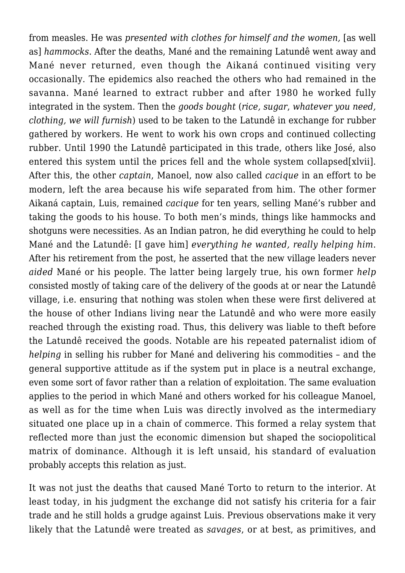from measles. He was *presented with clothes for himself and the women,* [as well as] *hammocks*. After the deaths, Mané and the remaining Latundê went away and Mané never returned, even though the Aikaná continued visiting very occasionally. The epidemics also reached the others who had remained in the savanna. Mané learned to extract rubber and after 1980 he worked fully integrated in the system. Then the *goods bought* (*rice, sugar*, *whatever you need, clothing, we will furnish*) used to be taken to the Latundê in exchange for rubber gathered by workers. He went to work his own crops and continued collecting rubber. Until 1990 the Latundê participated in this trade, others like José, also entered this system until the prices fell and the whole system collapsed[xlvii]. After this, the other *captain*, Manoel, now also called *cacique* in an effort to be modern, left the area because his wife separated from him. The other former Aikaná captain, Luis, remained *cacique* for ten years, selling Mané's rubber and taking the goods to his house. To both men's minds, things like hammocks and shotguns were necessities. As an Indian patron, he did everything he could to help Mané and the Latundê: [I gave him] *everything he wanted, really helping him*. After his retirement from the post, he asserted that the new village leaders never *aided* Mané or his people. The latter being largely true, his own former *help* consisted mostly of taking care of the delivery of the goods at or near the Latundê village, i.e. ensuring that nothing was stolen when these were first delivered at the house of other Indians living near the Latundê and who were more easily reached through the existing road. Thus, this delivery was liable to theft before the Latundê received the goods. Notable are his repeated paternalist idiom of *helping* in selling his rubber for Mané and delivering his commodities – and the general supportive attitude as if the system put in place is a neutral exchange, even some sort of favor rather than a relation of exploitation. The same evaluation applies to the period in which Mané and others worked for his colleague Manoel, as well as for the time when Luis was directly involved as the intermediary situated one place up in a chain of commerce. This formed a relay system that reflected more than just the economic dimension but shaped the sociopolitical matrix of dominance. Although it is left unsaid, his standard of evaluation probably accepts this relation as just.

It was not just the deaths that caused Mané Torto to return to the interior. At least today, in his judgment the exchange did not satisfy his criteria for a fair trade and he still holds a grudge against Luis. Previous observations make it very likely that the Latundê were treated as *savages*, or at best, as primitives, and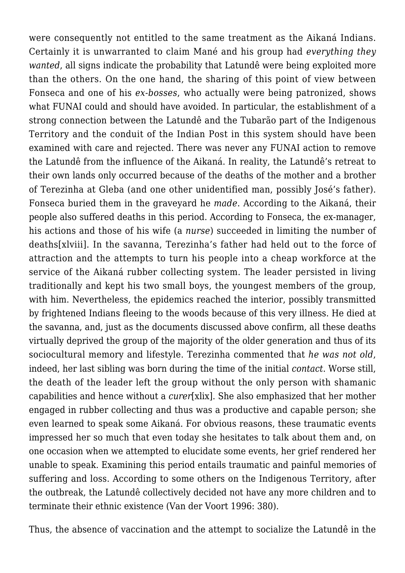were consequently not entitled to the same treatment as the Aikaná Indians. Certainly it is unwarranted to claim Mané and his group had *everything they wanted*, all signs indicate the probability that Latundê were being exploited more than the others. On the one hand, the sharing of this point of view between Fonseca and one of his *ex-bosses*, who actually were being patronized, shows what FUNAI could and should have avoided. In particular, the establishment of a strong connection between the Latundê and the Tubarão part of the Indigenous Territory and the conduit of the Indian Post in this system should have been examined with care and rejected. There was never any FUNAI action to remove the Latundê from the influence of the Aikaná. In reality, the Latundê's retreat to their own lands only occurred because of the deaths of the mother and a brother of Terezinha at Gleba (and one other unidentified man, possibly José's father). Fonseca buried them in the graveyard he *made*. According to the Aikaná, their people also suffered deaths in this period. According to Fonseca, the ex-manager, his actions and those of his wife (a *nurse*) succeeded in limiting the number of deaths[xlviii]. In the savanna, Terezinha's father had held out to the force of attraction and the attempts to turn his people into a cheap workforce at the service of the Aikaná rubber collecting system. The leader persisted in living traditionally and kept his two small boys, the youngest members of the group, with him. Nevertheless, the epidemics reached the interior, possibly transmitted by frightened Indians fleeing to the woods because of this very illness. He died at the savanna, and, just as the documents discussed above confirm, all these deaths virtually deprived the group of the majority of the older generation and thus of its sociocultural memory and lifestyle. Terezinha commented that *he was not old*, indeed, her last sibling was born during the time of the initial *contact*. Worse still, the death of the leader left the group without the only person with shamanic capabilities and hence without a *curer*[xlix]. She also emphasized that her mother engaged in rubber collecting and thus was a productive and capable person; she even learned to speak some Aikaná. For obvious reasons, these traumatic events impressed her so much that even today she hesitates to talk about them and, on one occasion when we attempted to elucidate some events, her grief rendered her unable to speak. Examining this period entails traumatic and painful memories of suffering and loss. According to some others on the Indigenous Territory, after the outbreak, the Latundê collectively decided not have any more children and to terminate their ethnic existence (Van der Voort 1996: 380).

Thus, the absence of vaccination and the attempt to socialize the Latundê in the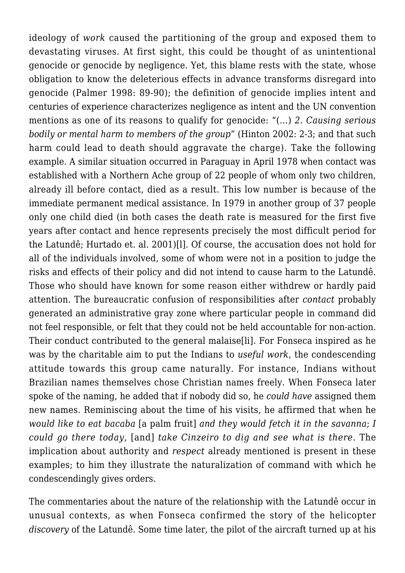ideology of *work* caused the partitioning of the group and exposed them to devastating viruses. At first sight, this could be thought of as unintentional genocide or genocide by negligence. Yet, this blame rests with the state, whose obligation to know the deleterious effects in advance transforms disregard into genocide (Palmer 1998: 89-90); the definition of genocide implies intent and centuries of experience characterizes negligence as intent and the UN convention mentions as one of its reasons to qualify for genocide: "(…) *2. Causing serious bodily or mental harm to members of the group*" (Hinton 2002: 2-3; and that such harm could lead to death should aggravate the charge). Take the following example. A similar situation occurred in Paraguay in April 1978 when contact was established with a Northern Ache group of 22 people of whom only two children, already ill before contact, died as a result. This low number is because of the immediate permanent medical assistance. In 1979 in another group of 37 people only one child died (in both cases the death rate is measured for the first five years after contact and hence represents precisely the most difficult period for the Latundê; Hurtado et. al. 2001)[l]. Of course, the accusation does not hold for all of the individuals involved, some of whom were not in a position to judge the risks and effects of their policy and did not intend to cause harm to the Latundê. Those who should have known for some reason either withdrew or hardly paid attention. The bureaucratic confusion of responsibilities after *contact* probably generated an administrative gray zone where particular people in command did not feel responsible, or felt that they could not be held accountable for non-action. Their conduct contributed to the general malaise[li]. For Fonseca inspired as he was by the charitable aim to put the Indians to *useful work*, the condescending attitude towards this group came naturally. For instance, Indians without Brazilian names themselves chose Christian names freely. When Fonseca later spoke of the naming, he added that if nobody did so, he *could have* assigned them new names. Reminiscing about the time of his visits, he affirmed that when he *would like to eat bacaba* [a palm fruit] *and they would fetch it in the savanna*; *I could go there today*, [and] *take Cinzeiro to dig and see what is there*. The implication about authority and *respect* already mentioned is present in these examples; to him they illustrate the naturalization of command with which he condescendingly gives orders.

The commentaries about the nature of the relationship with the Latundê occur in unusual contexts, as when Fonseca confirmed the story of the helicopter *discovery* of the Latundê. Some time later, the pilot of the aircraft turned up at his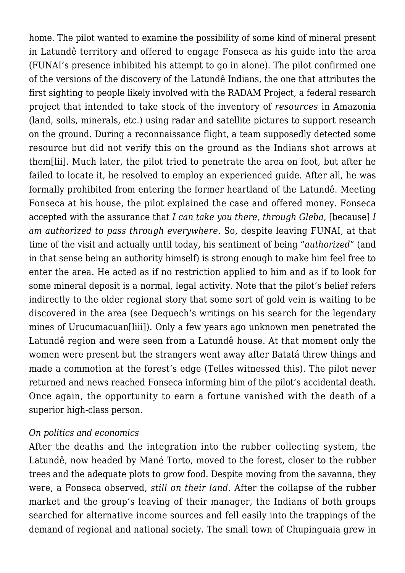home. The pilot wanted to examine the possibility of some kind of mineral present in Latundê territory and offered to engage Fonseca as his guide into the area (FUNAI's presence inhibited his attempt to go in alone). The pilot confirmed one of the versions of the discovery of the Latundê Indians, the one that attributes the first sighting to people likely involved with the RADAM Project, a federal research project that intended to take stock of the inventory of *resources* in Amazonia (land, soils, minerals, etc.) using radar and satellite pictures to support research on the ground. During a reconnaissance flight, a team supposedly detected some resource but did not verify this on the ground as the Indians shot arrows at them[lii]. Much later, the pilot tried to penetrate the area on foot, but after he failed to locate it, he resolved to employ an experienced guide. After all, he was formally prohibited from entering the former heartland of the Latundê. Meeting Fonseca at his house, the pilot explained the case and offered money. Fonseca accepted with the assurance that *I can take you there, through Gleba*, [because] *I am authorized to pass through everywhere*. So, despite leaving FUNAI, at that time of the visit and actually until today, his sentiment of being "*authorized*" (and in that sense being an authority himself) is strong enough to make him feel free to enter the area. He acted as if no restriction applied to him and as if to look for some mineral deposit is a normal, legal activity. Note that the pilot's belief refers indirectly to the older regional story that some sort of gold vein is waiting to be discovered in the area (see Dequech's writings on his search for the legendary mines of Urucumacuan[liii]). Only a few years ago unknown men penetrated the Latundê region and were seen from a Latundê house. At that moment only the women were present but the strangers went away after Batatá threw things and made a commotion at the forest's edge (Telles witnessed this). The pilot never returned and news reached Fonseca informing him of the pilot's accidental death. Once again, the opportunity to earn a fortune vanished with the death of a superior high-class person.

### *On politics and economics*

After the deaths and the integration into the rubber collecting system, the Latundê, now headed by Mané Torto, moved to the forest, closer to the rubber trees and the adequate plots to grow food. Despite moving from the savanna, they were, a Fonseca observed, *still on their land*. After the collapse of the rubber market and the group's leaving of their manager, the Indians of both groups searched for alternative income sources and fell easily into the trappings of the demand of regional and national society. The small town of Chupinguaia grew in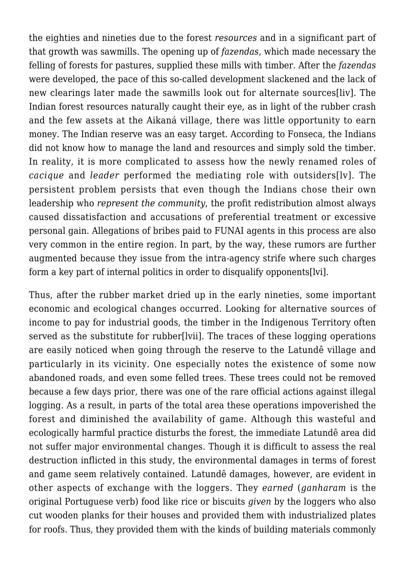the eighties and nineties due to the forest *resources* and in a significant part of that growth was sawmills. The opening up of *fazendas*, which made necessary the felling of forests for pastures, supplied these mills with timber. After the *fazendas* were developed, the pace of this so-called development slackened and the lack of new clearings later made the sawmills look out for alternate sources[liv]. The Indian forest resources naturally caught their eye, as in light of the rubber crash and the few assets at the Aikaná village, there was little opportunity to earn money. The Indian reserve was an easy target. According to Fonseca, the Indians did not know how to manage the land and resources and simply sold the timber. In reality, it is more complicated to assess how the newly renamed roles of *cacique* and *leader* performed the mediating role with outsiders[lv]. The persistent problem persists that even though the Indians chose their own leadership who *represent the community*, the profit redistribution almost always caused dissatisfaction and accusations of preferential treatment or excessive personal gain. Allegations of bribes paid to FUNAI agents in this process are also very common in the entire region. In part, by the way, these rumors are further augmented because they issue from the intra-agency strife where such charges form a key part of internal politics in order to disqualify opponents[lvi].

Thus, after the rubber market dried up in the early nineties, some important economic and ecological changes occurred. Looking for alternative sources of income to pay for industrial goods, the timber in the Indigenous Territory often served as the substitute for rubber[lvii]. The traces of these logging operations are easily noticed when going through the reserve to the Latundê village and particularly in its vicinity. One especially notes the existence of some now abandoned roads, and even some felled trees. These trees could not be removed because a few days prior, there was one of the rare official actions against illegal logging. As a result, in parts of the total area these operations impoverished the forest and diminished the availability of game. Although this wasteful and ecologically harmful practice disturbs the forest, the immediate Latundê area did not suffer major environmental changes. Though it is difficult to assess the real destruction inflicted in this study, the environmental damages in terms of forest and game seem relatively contained. Latundê damages, however, are evident in other aspects of exchange with the loggers. They *earned* (*ganharam* is the original Portuguese verb) food like rice or biscuits *given* by the loggers who also cut wooden planks for their houses and provided them with industrialized plates for roofs. Thus, they provided them with the kinds of building materials commonly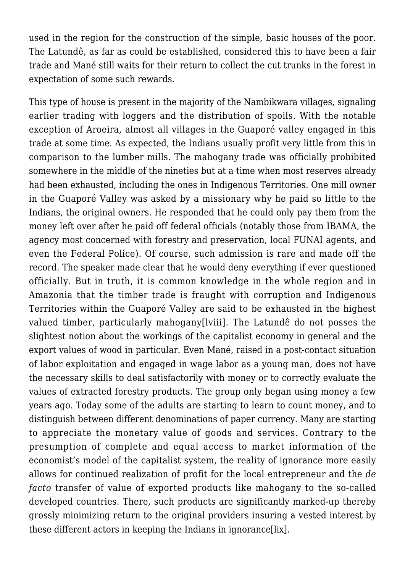used in the region for the construction of the simple, basic houses of the poor. The Latundê, as far as could be established, considered this to have been a fair trade and Mané still waits for their return to collect the cut trunks in the forest in expectation of some such rewards.

This type of house is present in the majority of the Nambikwara villages, signaling earlier trading with loggers and the distribution of spoils. With the notable exception of Aroeira, almost all villages in the Guaporé valley engaged in this trade at some time. As expected, the Indians usually profit very little from this in comparison to the lumber mills. The mahogany trade was officially prohibited somewhere in the middle of the nineties but at a time when most reserves already had been exhausted, including the ones in Indigenous Territories. One mill owner in the Guaporé Valley was asked by a missionary why he paid so little to the Indians, the original owners. He responded that he could only pay them from the money left over after he paid off federal officials (notably those from IBAMA, the agency most concerned with forestry and preservation, local FUNAI agents, and even the Federal Police). Of course, such admission is rare and made off the record. The speaker made clear that he would deny everything if ever questioned officially. But in truth, it is common knowledge in the whole region and in Amazonia that the timber trade is fraught with corruption and Indigenous Territories within the Guaporé Valley are said to be exhausted in the highest valued timber, particularly mahogany[lviii]. The Latundê do not posses the slightest notion about the workings of the capitalist economy in general and the export values of wood in particular. Even Mané, raised in a post-contact situation of labor exploitation and engaged in wage labor as a young man, does not have the necessary skills to deal satisfactorily with money or to correctly evaluate the values of extracted forestry products. The group only began using money a few years ago. Today some of the adults are starting to learn to count money, and to distinguish between different denominations of paper currency. Many are starting to appreciate the monetary value of goods and services. Contrary to the presumption of complete and equal access to market information of the economist's model of the capitalist system, the reality of ignorance more easily allows for continued realization of profit for the local entrepreneur and the *de facto* transfer of value of exported products like mahogany to the so-called developed countries. There, such products are significantly marked-up thereby grossly minimizing return to the original providers insuring a vested interest by these different actors in keeping the Indians in ignorance[lix].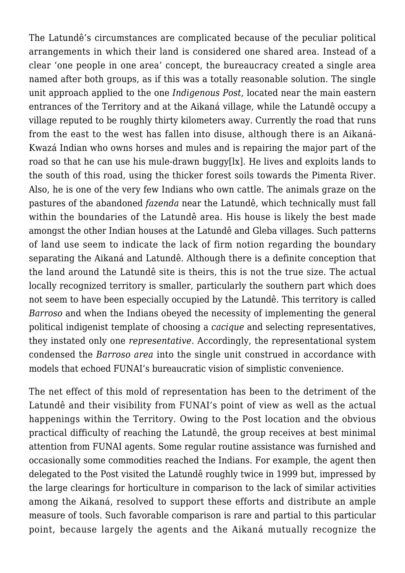The Latundê's circumstances are complicated because of the peculiar political arrangements in which their land is considered one shared area. Instead of a clear 'one people in one area' concept, the bureaucracy created a single area named after both groups, as if this was a totally reasonable solution. The single unit approach applied to the one *Indigenous Post*, located near the main eastern entrances of the Territory and at the Aikaná village, while the Latundê occupy a village reputed to be roughly thirty kilometers away. Currently the road that runs from the east to the west has fallen into disuse, although there is an Aikaná-Kwazá Indian who owns horses and mules and is repairing the major part of the road so that he can use his mule-drawn buggy[lx]. He lives and exploits lands to the south of this road, using the thicker forest soils towards the Pimenta River. Also, he is one of the very few Indians who own cattle. The animals graze on the pastures of the abandoned *fazenda* near the Latundê, which technically must fall within the boundaries of the Latundê area. His house is likely the best made amongst the other Indian houses at the Latundê and Gleba villages. Such patterns of land use seem to indicate the lack of firm notion regarding the boundary separating the Aikaná and Latundê. Although there is a definite conception that the land around the Latundê site is theirs, this is not the true size. The actual locally recognized territory is smaller, particularly the southern part which does not seem to have been especially occupied by the Latundê. This territory is called *Barroso* and when the Indians obeyed the necessity of implementing the general political indigenist template of choosing a *cacique* and selecting representatives, they instated only one *representative*. Accordingly, the representational system condensed the *Barroso area* into the single unit construed in accordance with models that echoed FUNAI's bureaucratic vision of simplistic convenience.

The net effect of this mold of representation has been to the detriment of the Latundê and their visibility from FUNAI's point of view as well as the actual happenings within the Territory. Owing to the Post location and the obvious practical difficulty of reaching the Latundê, the group receives at best minimal attention from FUNAI agents. Some regular routine assistance was furnished and occasionally some commodities reached the Indians. For example, the agent then delegated to the Post visited the Latundê roughly twice in 1999 but, impressed by the large clearings for horticulture in comparison to the lack of similar activities among the Aikaná, resolved to support these efforts and distribute an ample measure of tools. Such favorable comparison is rare and partial to this particular point, because largely the agents and the Aikaná mutually recognize the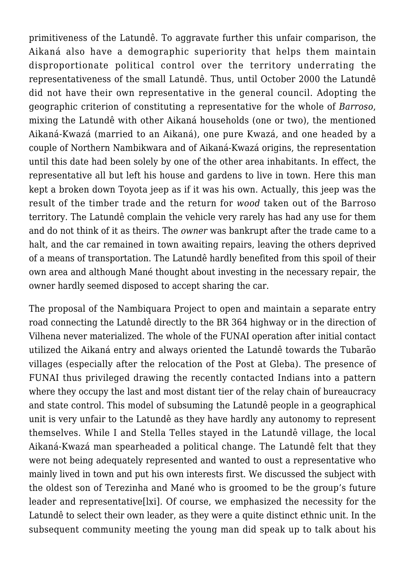primitiveness of the Latundê. To aggravate further this unfair comparison, the Aikaná also have a demographic superiority that helps them maintain disproportionate political control over the territory underrating the representativeness of the small Latundê. Thus, until October 2000 the Latundê did not have their own representative in the general council. Adopting the geographic criterion of constituting a representative for the whole of *Barroso*, mixing the Latundê with other Aikaná households (one or two), the mentioned Aikaná-Kwazá (married to an Aikaná), one pure Kwazá, and one headed by a couple of Northern Nambikwara and of Aikaná-Kwazá origins, the representation until this date had been solely by one of the other area inhabitants. In effect, the representative all but left his house and gardens to live in town. Here this man kept a broken down Toyota jeep as if it was his own. Actually, this jeep was the result of the timber trade and the return for *wood* taken out of the Barroso territory. The Latundê complain the vehicle very rarely has had any use for them and do not think of it as theirs. The *owner* was bankrupt after the trade came to a halt, and the car remained in town awaiting repairs, leaving the others deprived of a means of transportation. The Latundê hardly benefited from this spoil of their own area and although Mané thought about investing in the necessary repair, the owner hardly seemed disposed to accept sharing the car.

The proposal of the Nambiquara Project to open and maintain a separate entry road connecting the Latundê directly to the BR 364 highway or in the direction of Vilhena never materialized. The whole of the FUNAI operation after initial contact utilized the Aikaná entry and always oriented the Latundê towards the Tubarão villages (especially after the relocation of the Post at Gleba). The presence of FUNAI thus privileged drawing the recently contacted Indians into a pattern where they occupy the last and most distant tier of the relay chain of bureaucracy and state control. This model of subsuming the Latundê people in a geographical unit is very unfair to the Latundê as they have hardly any autonomy to represent themselves. While I and Stella Telles stayed in the Latundê village, the local Aikaná-Kwazá man spearheaded a political change. The Latundê felt that they were not being adequately represented and wanted to oust a representative who mainly lived in town and put his own interests first. We discussed the subject with the oldest son of Terezinha and Mané who is groomed to be the group's future leader and representative[lxi]. Of course, we emphasized the necessity for the Latundê to select their own leader, as they were a quite distinct ethnic unit. In the subsequent community meeting the young man did speak up to talk about his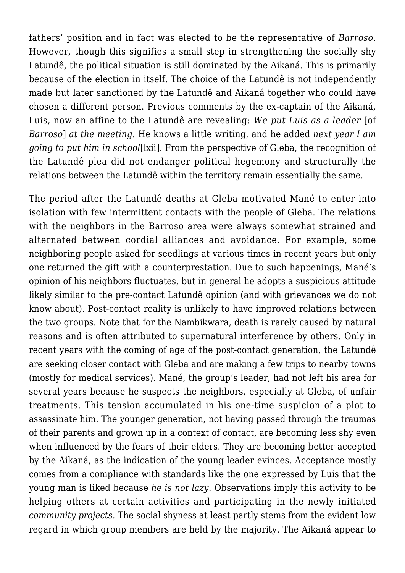fathers' position and in fact was elected to be the representative of *Barroso*. However, though this signifies a small step in strengthening the socially shy Latundê, the political situation is still dominated by the Aikaná. This is primarily because of the election in itself. The choice of the Latundê is not independently made but later sanctioned by the Latundê and Aikaná together who could have chosen a different person. Previous comments by the ex-captain of the Aikaná, Luis, now an affine to the Latundê are revealing: *We put Luis as a leader* [of *Barroso*] *at the meeting.* He knows a little writing, and he added *next year I am going to put him in school*[lxii]. From the perspective of Gleba, the recognition of the Latundê plea did not endanger political hegemony and structurally the relations between the Latundê within the territory remain essentially the same.

The period after the Latundê deaths at Gleba motivated Mané to enter into isolation with few intermittent contacts with the people of Gleba. The relations with the neighbors in the Barroso area were always somewhat strained and alternated between cordial alliances and avoidance. For example, some neighboring people asked for seedlings at various times in recent years but only one returned the gift with a counterprestation. Due to such happenings, Mané's opinion of his neighbors fluctuates, but in general he adopts a suspicious attitude likely similar to the pre-contact Latundê opinion (and with grievances we do not know about). Post-contact reality is unlikely to have improved relations between the two groups. Note that for the Nambikwara, death is rarely caused by natural reasons and is often attributed to supernatural interference by others. Only in recent years with the coming of age of the post-contact generation, the Latundê are seeking closer contact with Gleba and are making a few trips to nearby towns (mostly for medical services). Mané, the group's leader, had not left his area for several years because he suspects the neighbors, especially at Gleba, of unfair treatments. This tension accumulated in his one-time suspicion of a plot to assassinate him. The younger generation, not having passed through the traumas of their parents and grown up in a context of contact, are becoming less shy even when influenced by the fears of their elders. They are becoming better accepted by the Aikaná, as the indication of the young leader evinces. Acceptance mostly comes from a compliance with standards like the one expressed by Luis that the young man is liked because *he is not lazy*. Observations imply this activity to be helping others at certain activities and participating in the newly initiated *community projects*. The social shyness at least partly stems from the evident low regard in which group members are held by the majority. The Aikaná appear to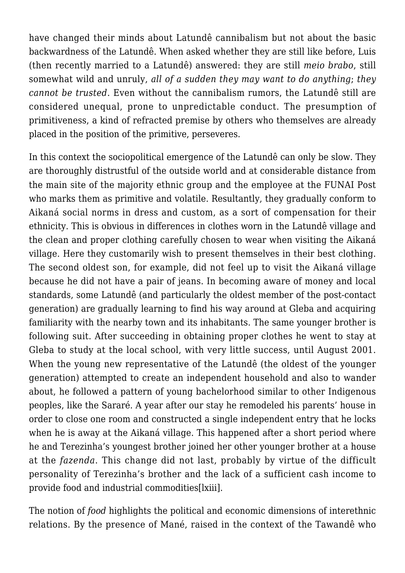have changed their minds about Latundê cannibalism but not about the basic backwardness of the Latundê. When asked whether they are still like before, Luis (then recently married to a Latundê) answered: they are still *meio brabo*, still somewhat wild and unruly, *all of a sudden they may want to do anything*; *they cannot be trusted*. Even without the cannibalism rumors, the Latundê still are considered unequal, prone to unpredictable conduct. The presumption of primitiveness, a kind of refracted premise by others who themselves are already placed in the position of the primitive, perseveres.

In this context the sociopolitical emergence of the Latundê can only be slow. They are thoroughly distrustful of the outside world and at considerable distance from the main site of the majority ethnic group and the employee at the FUNAI Post who marks them as primitive and volatile. Resultantly, they gradually conform to Aikaná social norms in dress and custom, as a sort of compensation for their ethnicity. This is obvious in differences in clothes worn in the Latundê village and the clean and proper clothing carefully chosen to wear when visiting the Aikaná village. Here they customarily wish to present themselves in their best clothing. The second oldest son, for example, did not feel up to visit the Aikaná village because he did not have a pair of jeans. In becoming aware of money and local standards, some Latundê (and particularly the oldest member of the post-contact generation) are gradually learning to find his way around at Gleba and acquiring familiarity with the nearby town and its inhabitants. The same younger brother is following suit. After succeeding in obtaining proper clothes he went to stay at Gleba to study at the local school, with very little success, until August 2001. When the young new representative of the Latundê (the oldest of the younger generation) attempted to create an independent household and also to wander about, he followed a pattern of young bachelorhood similar to other Indigenous peoples, like the Sararé. A year after our stay he remodeled his parents' house in order to close one room and constructed a single independent entry that he locks when he is away at the Aikaná village. This happened after a short period where he and Terezinha's youngest brother joined her other younger brother at a house at the *fazenda*. This change did not last, probably by virtue of the difficult personality of Terezinha's brother and the lack of a sufficient cash income to provide food and industrial commodities[lxiii].

The notion of *food* highlights the political and economic dimensions of interethnic relations. By the presence of Mané, raised in the context of the Tawandê who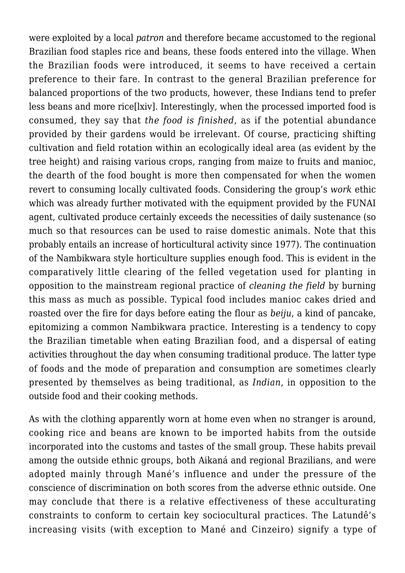were exploited by a local *patron* and therefore became accustomed to the regional Brazilian food staples rice and beans, these foods entered into the village. When the Brazilian foods were introduced, it seems to have received a certain preference to their fare. In contrast to the general Brazilian preference for balanced proportions of the two products, however, these Indians tend to prefer less beans and more rice[lxiv]. Interestingly, when the processed imported food is consumed, they say that *the food is finished*, as if the potential abundance provided by their gardens would be irrelevant. Of course, practicing shifting cultivation and field rotation within an ecologically ideal area (as evident by the tree height) and raising various crops, ranging from maize to fruits and manioc, the dearth of the food bought is more then compensated for when the women revert to consuming locally cultivated foods. Considering the group's *work* ethic which was already further motivated with the equipment provided by the FUNAI agent, cultivated produce certainly exceeds the necessities of daily sustenance (so much so that resources can be used to raise domestic animals. Note that this probably entails an increase of horticultural activity since 1977). The continuation of the Nambikwara style horticulture supplies enough food. This is evident in the comparatively little clearing of the felled vegetation used for planting in opposition to the mainstream regional practice of *cleaning the field* by burning this mass as much as possible. Typical food includes manioc cakes dried and roasted over the fire for days before eating the flour as *beiju*, a kind of pancake, epitomizing a common Nambikwara practice. Interesting is a tendency to copy the Brazilian timetable when eating Brazilian food, and a dispersal of eating activities throughout the day when consuming traditional produce. The latter type of foods and the mode of preparation and consumption are sometimes clearly presented by themselves as being traditional, as *Indian*, in opposition to the outside food and their cooking methods.

As with the clothing apparently worn at home even when no stranger is around, cooking rice and beans are known to be imported habits from the outside incorporated into the customs and tastes of the small group. These habits prevail among the outside ethnic groups, both Aikaná and regional Brazilians, and were adopted mainly through Mané's influence and under the pressure of the conscience of discrimination on both scores from the adverse ethnic outside. One may conclude that there is a relative effectiveness of these acculturating constraints to conform to certain key sociocultural practices. The Latundê's increasing visits (with exception to Mané and Cinzeiro) signify a type of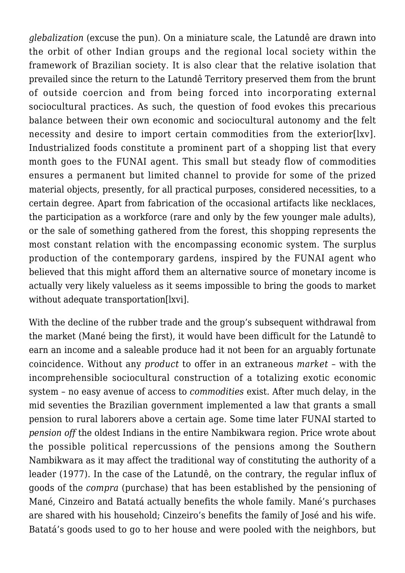*glebalization* (excuse the pun). On a miniature scale, the Latundê are drawn into the orbit of other Indian groups and the regional local society within the framework of Brazilian society. It is also clear that the relative isolation that prevailed since the return to the Latundê Territory preserved them from the brunt of outside coercion and from being forced into incorporating external sociocultural practices. As such, the question of food evokes this precarious balance between their own economic and sociocultural autonomy and the felt necessity and desire to import certain commodities from the exterior[lxv]. Industrialized foods constitute a prominent part of a shopping list that every month goes to the FUNAI agent. This small but steady flow of commodities ensures a permanent but limited channel to provide for some of the prized material objects, presently, for all practical purposes, considered necessities, to a certain degree. Apart from fabrication of the occasional artifacts like necklaces, the participation as a workforce (rare and only by the few younger male adults), or the sale of something gathered from the forest, this shopping represents the most constant relation with the encompassing economic system. The surplus production of the contemporary gardens, inspired by the FUNAI agent who believed that this might afford them an alternative source of monetary income is actually very likely valueless as it seems impossible to bring the goods to market without adequate transportation[lxvi].

With the decline of the rubber trade and the group's subsequent withdrawal from the market (Mané being the first), it would have been difficult for the Latundê to earn an income and a saleable produce had it not been for an arguably fortunate coincidence. Without any *product* to offer in an extraneous *market* – with the incomprehensible sociocultural construction of a totalizing exotic economic system – no easy avenue of access to *commodities* exist. After much delay, in the mid seventies the Brazilian government implemented a law that grants a small pension to rural laborers above a certain age. Some time later FUNAI started to *pension off* the oldest Indians in the entire Nambikwara region. Price wrote about the possible political repercussions of the pensions among the Southern Nambikwara as it may affect the traditional way of constituting the authority of a leader (1977). In the case of the Latundê, on the contrary, the regular influx of goods of the *compra* (purchase) that has been established by the pensioning of Mané, Cinzeiro and Batatá actually benefits the whole family. Mané's purchases are shared with his household; Cinzeiro's benefits the family of José and his wife. Batatá's goods used to go to her house and were pooled with the neighbors, but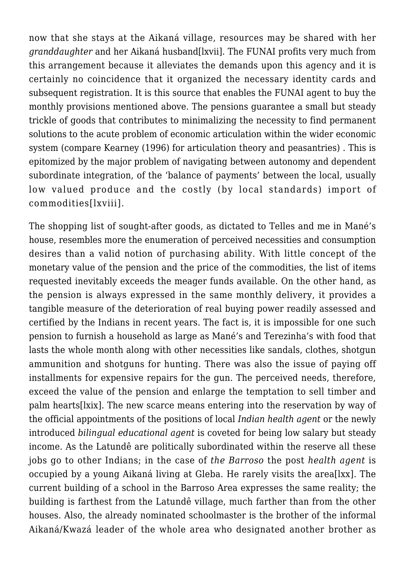now that she stays at the Aikaná village, resources may be shared with her *granddaughter* and her Aikaná husband[lxvii]. The FUNAI profits very much from this arrangement because it alleviates the demands upon this agency and it is certainly no coincidence that it organized the necessary identity cards and subsequent registration. It is this source that enables the FUNAI agent to buy the monthly provisions mentioned above. The pensions guarantee a small but steady trickle of goods that contributes to minimalizing the necessity to find permanent solutions to the acute problem of economic articulation within the wider economic system (compare Kearney (1996) for articulation theory and peasantries) . This is epitomized by the major problem of navigating between autonomy and dependent subordinate integration, of the 'balance of payments' between the local, usually low valued produce and the costly (by local standards) import of commodities[lxviii].

The shopping list of sought-after goods, as dictated to Telles and me in Mané's house, resembles more the enumeration of perceived necessities and consumption desires than a valid notion of purchasing ability. With little concept of the monetary value of the pension and the price of the commodities, the list of items requested inevitably exceeds the meager funds available. On the other hand, as the pension is always expressed in the same monthly delivery, it provides a tangible measure of the deterioration of real buying power readily assessed and certified by the Indians in recent years. The fact is, it is impossible for one such pension to furnish a household as large as Mané's and Terezinha's with food that lasts the whole month along with other necessities like sandals, clothes, shotgun ammunition and shotguns for hunting. There was also the issue of paying off installments for expensive repairs for the gun. The perceived needs, therefore, exceed the value of the pension and enlarge the temptation to sell timber and palm hearts[lxix]. The new scarce means entering into the reservation by way of the official appointments of the positions of local *Indian health agent* or the newly introduced *bilingual educational agent* is coveted for being low salary but steady income. As the Latundê are politically subordinated within the reserve all these jobs go to other Indians; in the case of *the Barroso* the post *health agent* is occupied by a young Aikaná living at Gleba. He rarely visits the area[lxx]. The current building of a school in the Barroso Area expresses the same reality; the building is farthest from the Latundê village, much farther than from the other houses. Also, the already nominated schoolmaster is the brother of the informal Aikaná/Kwazá leader of the whole area who designated another brother as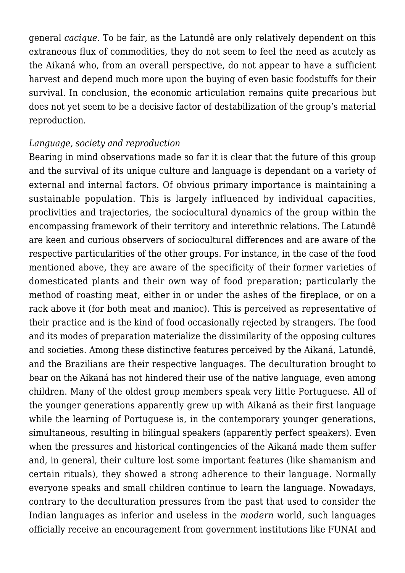general *cacique*. To be fair, as the Latundê are only relatively dependent on this extraneous flux of commodities, they do not seem to feel the need as acutely as the Aikaná who, from an overall perspective, do not appear to have a sufficient harvest and depend much more upon the buying of even basic foodstuffs for their survival. In conclusion, the economic articulation remains quite precarious but does not yet seem to be a decisive factor of destabilization of the group's material reproduction.

## *Language, society and reproduction*

Bearing in mind observations made so far it is clear that the future of this group and the survival of its unique culture and language is dependant on a variety of external and internal factors. Of obvious primary importance is maintaining a sustainable population. This is largely influenced by individual capacities, proclivities and trajectories, the sociocultural dynamics of the group within the encompassing framework of their territory and interethnic relations. The Latundê are keen and curious observers of sociocultural differences and are aware of the respective particularities of the other groups. For instance, in the case of the food mentioned above, they are aware of the specificity of their former varieties of domesticated plants and their own way of food preparation; particularly the method of roasting meat, either in or under the ashes of the fireplace, or on a rack above it (for both meat and manioc). This is perceived as representative of their practice and is the kind of food occasionally rejected by strangers. The food and its modes of preparation materialize the dissimilarity of the opposing cultures and societies. Among these distinctive features perceived by the Aikaná, Latundê, and the Brazilians are their respective languages. The deculturation brought to bear on the Aikaná has not hindered their use of the native language, even among children. Many of the oldest group members speak very little Portuguese. All of the younger generations apparently grew up with Aikaná as their first language while the learning of Portuguese is, in the contemporary younger generations, simultaneous, resulting in bilingual speakers (apparently perfect speakers). Even when the pressures and historical contingencies of the Aikaná made them suffer and, in general, their culture lost some important features (like shamanism and certain rituals), they showed a strong adherence to their language. Normally everyone speaks and small children continue to learn the language. Nowadays, contrary to the deculturation pressures from the past that used to consider the Indian languages as inferior and useless in the *modern* world, such languages officially receive an encouragement from government institutions like FUNAI and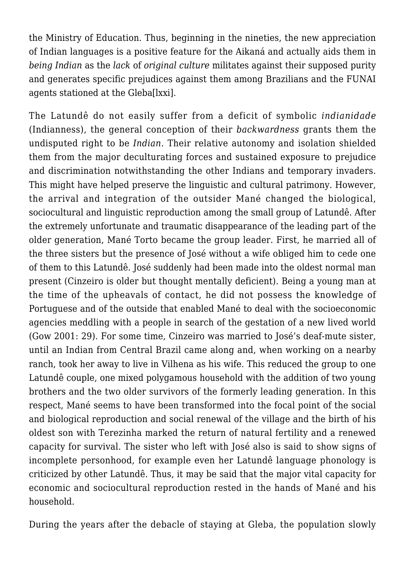the Ministry of Education. Thus, beginning in the nineties, the new appreciation of Indian languages is a positive feature for the Aikaná and actually aids them in *being Indian* as the *lack* of *original culture* militates against their supposed purity and generates specific prejudices against them among Brazilians and the FUNAI agents stationed at the Gleba[lxxi].

The Latundê do not easily suffer from a deficit of symbolic *indianidade* (Indianness), the general conception of their *backwardness* grants them the undisputed right to be *Indian*. Their relative autonomy and isolation shielded them from the major deculturating forces and sustained exposure to prejudice and discrimination notwithstanding the other Indians and temporary invaders. This might have helped preserve the linguistic and cultural patrimony. However, the arrival and integration of the outsider Mané changed the biological, sociocultural and linguistic reproduction among the small group of Latundê. After the extremely unfortunate and traumatic disappearance of the leading part of the older generation, Mané Torto became the group leader. First, he married all of the three sisters but the presence of José without a wife obliged him to cede one of them to this Latundê. José suddenly had been made into the oldest normal man present (Cinzeiro is older but thought mentally deficient). Being a young man at the time of the upheavals of contact, he did not possess the knowledge of Portuguese and of the outside that enabled Mané to deal with the socioeconomic agencies meddling with a people in search of the gestation of a new lived world (Gow 2001: 29). For some time, Cinzeiro was married to José's deaf-mute sister, until an Indian from Central Brazil came along and, when working on a nearby ranch, took her away to live in Vilhena as his wife. This reduced the group to one Latundê couple, one mixed polygamous household with the addition of two young brothers and the two older survivors of the formerly leading generation. In this respect, Mané seems to have been transformed into the focal point of the social and biological reproduction and social renewal of the village and the birth of his oldest son with Terezinha marked the return of natural fertility and a renewed capacity for survival. The sister who left with José also is said to show signs of incomplete personhood, for example even her Latundê language phonology is criticized by other Latundê. Thus, it may be said that the major vital capacity for economic and sociocultural reproduction rested in the hands of Mané and his household.

During the years after the debacle of staying at Gleba, the population slowly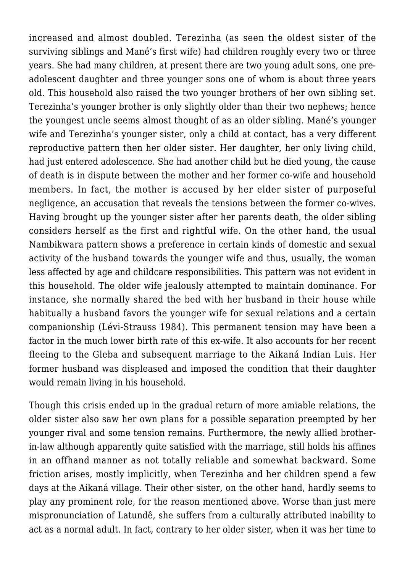increased and almost doubled. Terezinha (as seen the oldest sister of the surviving siblings and Mané's first wife) had children roughly every two or three years. She had many children, at present there are two young adult sons, one preadolescent daughter and three younger sons one of whom is about three years old. This household also raised the two younger brothers of her own sibling set. Terezinha's younger brother is only slightly older than their two nephews; hence the youngest uncle seems almost thought of as an older sibling. Mané's younger wife and Terezinha's younger sister, only a child at contact, has a very different reproductive pattern then her older sister. Her daughter, her only living child, had just entered adolescence. She had another child but he died young, the cause of death is in dispute between the mother and her former co-wife and household members. In fact, the mother is accused by her elder sister of purposeful negligence, an accusation that reveals the tensions between the former co-wives. Having brought up the younger sister after her parents death, the older sibling considers herself as the first and rightful wife. On the other hand, the usual Nambikwara pattern shows a preference in certain kinds of domestic and sexual activity of the husband towards the younger wife and thus, usually, the woman less affected by age and childcare responsibilities. This pattern was not evident in this household. The older wife jealously attempted to maintain dominance. For instance, she normally shared the bed with her husband in their house while habitually a husband favors the younger wife for sexual relations and a certain companionship (Lévi-Strauss 1984). This permanent tension may have been a factor in the much lower birth rate of this ex-wife. It also accounts for her recent fleeing to the Gleba and subsequent marriage to the Aikaná Indian Luis. Her former husband was displeased and imposed the condition that their daughter would remain living in his household.

Though this crisis ended up in the gradual return of more amiable relations, the older sister also saw her own plans for a possible separation preempted by her younger rival and some tension remains. Furthermore, the newly allied brotherin-law although apparently quite satisfied with the marriage, still holds his affines in an offhand manner as not totally reliable and somewhat backward. Some friction arises, mostly implicitly, when Terezinha and her children spend a few days at the Aikaná village. Their other sister, on the other hand, hardly seems to play any prominent role, for the reason mentioned above. Worse than just mere mispronunciation of Latundê, she suffers from a culturally attributed inability to act as a normal adult. In fact, contrary to her older sister, when it was her time to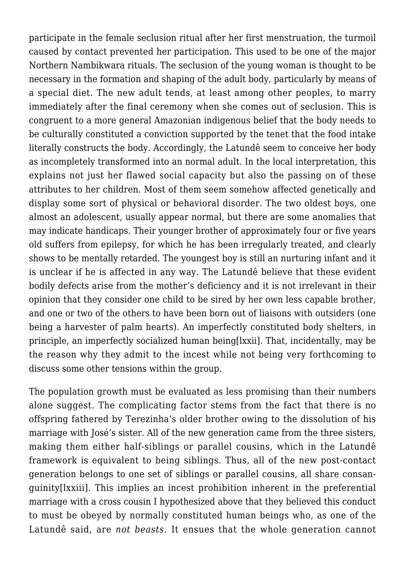participate in the female seclusion ritual after her first menstruation, the turmoil caused by contact prevented her participation. This used to be one of the major Northern Nambikwara rituals. The seclusion of the young woman is thought to be necessary in the formation and shaping of the adult body, particularly by means of a special diet. The new adult tends, at least among other peoples, to marry immediately after the final ceremony when she comes out of seclusion. This is congruent to a more general Amazonian indigenous belief that the body needs to be culturally constituted a conviction supported by the tenet that the food intake literally constructs the body. Accordingly, the Latundê seem to conceive her body as incompletely transformed into an normal adult. In the local interpretation, this explains not just her flawed social capacity but also the passing on of these attributes to her children. Most of them seem somehow affected genetically and display some sort of physical or behavioral disorder. The two oldest boys, one almost an adolescent, usually appear normal, but there are some anomalies that may indicate handicaps. Their younger brother of approximately four or five years old suffers from epilepsy, for which he has been irregularly treated, and clearly shows to be mentally retarded. The youngest boy is still an nurturing infant and it is unclear if he is affected in any way. The Latundê believe that these evident bodily defects arise from the mother's deficiency and it is not irrelevant in their opinion that they consider one child to be sired by her own less capable brother, and one or two of the others to have been born out of liaisons with outsiders (one being a harvester of palm hearts). An imperfectly constituted body shelters, in principle, an imperfectly socialized human being[lxxii]. That, incidentally, may be the reason why they admit to the incest while not being very forthcoming to discuss some other tensions within the group.

The population growth must be evaluated as less promising than their numbers alone suggest. The complicating factor stems from the fact that there is no offspring fathered by Terezinha's older brother owing to the dissolution of his marriage with José's sister. All of the new generation came from the three sisters, making them either half-siblings or parallel cousins, which in the Latundê framework is equivalent to being siblings. Thus, all of the new post-contact generation belongs to one set of siblings or parallel cousins, all share consanguinity[lxxiii]. This implies an incest prohibition inherent in the preferential marriage with a cross cousin I hypothesized above that they believed this conduct to must be obeyed by normally constituted human beings who, as one of the Latundê said, are *not beasts*. It ensues that the whole generation cannot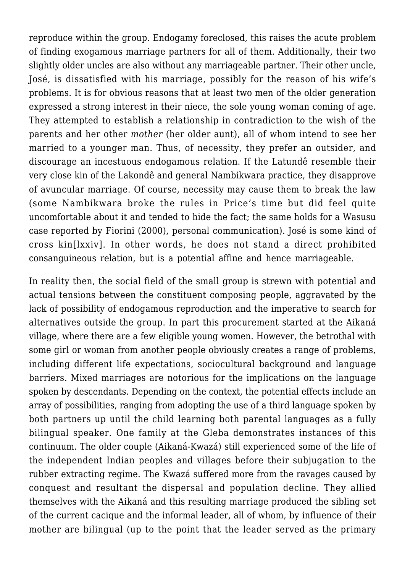reproduce within the group. Endogamy foreclosed, this raises the acute problem of finding exogamous marriage partners for all of them. Additionally, their two slightly older uncles are also without any marriageable partner. Their other uncle, José, is dissatisfied with his marriage, possibly for the reason of his wife's problems. It is for obvious reasons that at least two men of the older generation expressed a strong interest in their niece, the sole young woman coming of age. They attempted to establish a relationship in contradiction to the wish of the parents and her other *mother* (her older aunt), all of whom intend to see her married to a younger man. Thus, of necessity, they prefer an outsider, and discourage an incestuous endogamous relation. If the Latundê resemble their very close kin of the Lakondê and general Nambikwara practice, they disapprove of avuncular marriage. Of course, necessity may cause them to break the law (some Nambikwara broke the rules in Price's time but did feel quite uncomfortable about it and tended to hide the fact; the same holds for a Wasusu case reported by Fiorini (2000), personal communication). José is some kind of cross kin[lxxiv]. In other words, he does not stand a direct prohibited consanguineous relation, but is a potential affine and hence marriageable.

In reality then, the social field of the small group is strewn with potential and actual tensions between the constituent composing people, aggravated by the lack of possibility of endogamous reproduction and the imperative to search for alternatives outside the group. In part this procurement started at the Aikaná village, where there are a few eligible young women. However, the betrothal with some girl or woman from another people obviously creates a range of problems, including different life expectations, sociocultural background and language barriers. Mixed marriages are notorious for the implications on the language spoken by descendants. Depending on the context, the potential effects include an array of possibilities, ranging from adopting the use of a third language spoken by both partners up until the child learning both parental languages as a fully bilingual speaker. One family at the Gleba demonstrates instances of this continuum. The older couple (Aikaná-Kwazá) still experienced some of the life of the independent Indian peoples and villages before their subjugation to the rubber extracting regime. The Kwazá suffered more from the ravages caused by conquest and resultant the dispersal and population decline. They allied themselves with the Aikaná and this resulting marriage produced the sibling set of the current cacique and the informal leader, all of whom, by influence of their mother are bilingual (up to the point that the leader served as the primary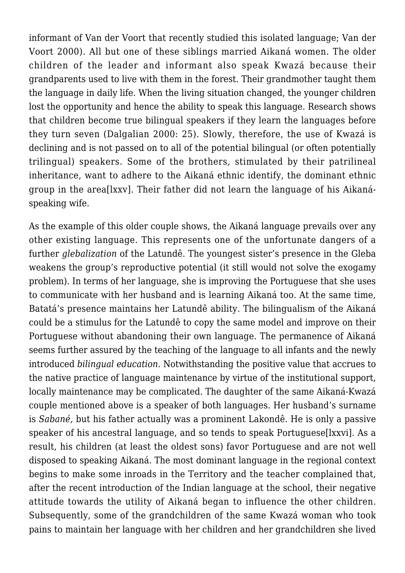informant of Van der Voort that recently studied this isolated language; Van der Voort 2000). All but one of these siblings married Aikaná women. The older children of the leader and informant also speak Kwazá because their grandparents used to live with them in the forest. Their grandmother taught them the language in daily life. When the living situation changed, the younger children lost the opportunity and hence the ability to speak this language. Research shows that children become true bilingual speakers if they learn the languages before they turn seven (Dalgalian 2000: 25). Slowly, therefore, the use of Kwazá is declining and is not passed on to all of the potential bilingual (or often potentially trilingual) speakers. Some of the brothers, stimulated by their patrilineal inheritance, want to adhere to the Aikaná ethnic identify, the dominant ethnic group in the area[lxxv]. Their father did not learn the language of his Aikanáspeaking wife.

As the example of this older couple shows, the Aikaná language prevails over any other existing language. This represents one of the unfortunate dangers of a further *glebalization* of the Latundê. The youngest sister's presence in the Gleba weakens the group's reproductive potential (it still would not solve the exogamy problem). In terms of her language, she is improving the Portuguese that she uses to communicate with her husband and is learning Aikaná too. At the same time, Batatá's presence maintains her Latundê ability. The bilingualism of the Aikaná could be a stimulus for the Latundê to copy the same model and improve on their Portuguese without abandoning their own language. The permanence of Aikaná seems further assured by the teaching of the language to all infants and the newly introduced *bilingual education*. Notwithstanding the positive value that accrues to the native practice of language maintenance by virtue of the institutional support, locally maintenance may be complicated. The daughter of the same Aikaná-Kwazá couple mentioned above is a speaker of both languages. Her husband's surname is *Sabané,* but his father actually was a prominent Lakondê. He is only a passive speaker of his ancestral language, and so tends to speak Portuguese[lxxvi]. As a result, his children (at least the oldest sons) favor Portuguese and are not well disposed to speaking Aikaná. The most dominant language in the regional context begins to make some inroads in the Territory and the teacher complained that, after the recent introduction of the Indian language at the school, their negative attitude towards the utility of Aikaná began to influence the other children. Subsequently, some of the grandchildren of the same Kwazá woman who took pains to maintain her language with her children and her grandchildren she lived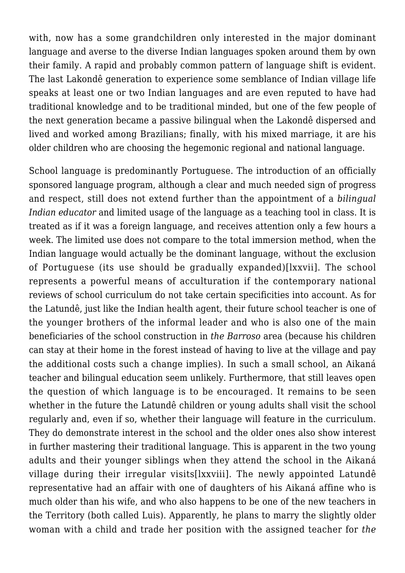with, now has a some grandchildren only interested in the major dominant language and averse to the diverse Indian languages spoken around them by own their family. A rapid and probably common pattern of language shift is evident. The last Lakondê generation to experience some semblance of Indian village life speaks at least one or two Indian languages and are even reputed to have had traditional knowledge and to be traditional minded, but one of the few people of the next generation became a passive bilingual when the Lakondê dispersed and lived and worked among Brazilians; finally, with his mixed marriage, it are his older children who are choosing the hegemonic regional and national language.

School language is predominantly Portuguese. The introduction of an officially sponsored language program, although a clear and much needed sign of progress and respect, still does not extend further than the appointment of a *bilingual Indian educator* and limited usage of the language as a teaching tool in class. It is treated as if it was a foreign language, and receives attention only a few hours a week. The limited use does not compare to the total immersion method, when the Indian language would actually be the dominant language, without the exclusion of Portuguese (its use should be gradually expanded)[lxxvii]. The school represents a powerful means of acculturation if the contemporary national reviews of school curriculum do not take certain specificities into account. As for the Latundê, just like the Indian health agent, their future school teacher is one of the younger brothers of the informal leader and who is also one of the main beneficiaries of the school construction in *the Barroso* area (because his children can stay at their home in the forest instead of having to live at the village and pay the additional costs such a change implies). In such a small school, an Aikaná teacher and bilingual education seem unlikely. Furthermore, that still leaves open the question of which language is to be encouraged. It remains to be seen whether in the future the Latundê children or young adults shall visit the school regularly and, even if so, whether their language will feature in the curriculum. They do demonstrate interest in the school and the older ones also show interest in further mastering their traditional language. This is apparent in the two young adults and their younger siblings when they attend the school in the Aikaná village during their irregular visits[lxxviii]. The newly appointed Latundê representative had an affair with one of daughters of his Aikaná affine who is much older than his wife, and who also happens to be one of the new teachers in the Territory (both called Luis). Apparently, he plans to marry the slightly older woman with a child and trade her position with the assigned teacher for *the*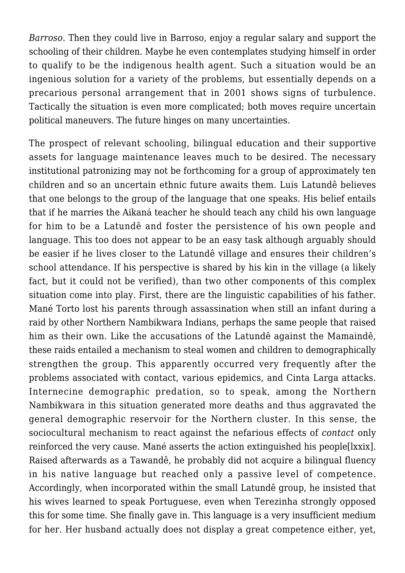*Barroso*. Then they could live in Barroso, enjoy a regular salary and support the schooling of their children. Maybe he even contemplates studying himself in order to qualify to be the indigenous health agent. Such a situation would be an ingenious solution for a variety of the problems, but essentially depends on a precarious personal arrangement that in 2001 shows signs of turbulence. Tactically the situation is even more complicated; both moves require uncertain political maneuvers. The future hinges on many uncertainties.

The prospect of relevant schooling, bilingual education and their supportive assets for language maintenance leaves much to be desired. The necessary institutional patronizing may not be forthcoming for a group of approximately ten children and so an uncertain ethnic future awaits them. Luis Latundê believes that one belongs to the group of the language that one speaks. His belief entails that if he marries the Aikaná teacher he should teach any child his own language for him to be a Latundê and foster the persistence of his own people and language. This too does not appear to be an easy task although arguably should be easier if he lives closer to the Latundê village and ensures their children's school attendance. If his perspective is shared by his kin in the village (a likely fact, but it could not be verified), than two other components of this complex situation come into play. First, there are the linguistic capabilities of his father. Mané Torto lost his parents through assassination when still an infant during a raid by other Northern Nambikwara Indians, perhaps the same people that raised him as their own. Like the accusations of the Latundê against the Mamaindê, these raids entailed a mechanism to steal women and children to demographically strengthen the group. This apparently occurred very frequently after the problems associated with contact, various epidemics, and Cinta Larga attacks. Internecine demographic predation, so to speak, among the Northern Nambikwara in this situation generated more deaths and thus aggravated the general demographic reservoir for the Northern cluster. In this sense, the sociocultural mechanism to react against the nefarious effects of *contact* only reinforced the very cause. Mané asserts the action extinguished his people[lxxix]. Raised afterwards as a Tawandê, he probably did not acquire a bilingual fluency in his native language but reached only a passive level of competence. Accordingly, when incorporated within the small Latundê group, he insisted that his wives learned to speak Portuguese, even when Terezinha strongly opposed this for some time. She finally gave in. This language is a very insufficient medium for her. Her husband actually does not display a great competence either, yet,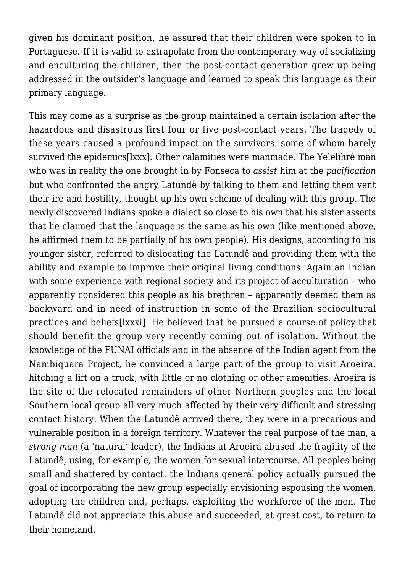given his dominant position, he assured that their children were spoken to in Portuguese. If it is valid to extrapolate from the contemporary way of socializing and enculturing the children, then the post-contact generation grew up being addressed in the outsider's language and learned to speak this language as their primary language.

This may come as a surprise as the group maintained a certain isolation after the hazardous and disastrous first four or five post-contact years. The tragedy of these years caused a profound impact on the survivors, some of whom barely survived the epidemics[lxxx]. Other calamities were manmade. The Yelelihrê man who was in reality the one brought in by Fonseca to *assist* him at the *pacification* but who confronted the angry Latundê by talking to them and letting them vent their ire and hostility, thought up his own scheme of dealing with this group. The newly discovered Indians spoke a dialect so close to his own that his sister asserts that he claimed that the language is the same as his own (like mentioned above, he affirmed them to be partially of his own people). His designs, according to his younger sister, referred to dislocating the Latundê and providing them with the ability and example to improve their original living conditions. Again an Indian with some experience with regional society and its project of acculturation - who apparently considered this people as his brethren – apparently deemed them as backward and in need of instruction in some of the Brazilian sociocultural practices and beliefs[lxxxi]. He believed that he pursued a course of policy that should benefit the group very recently coming out of isolation. Without the knowledge of the FUNAI officials and in the absence of the Indian agent from the Nambiquara Project, he convinced a large part of the group to visit Aroeira, hitching a lift on a truck, with little or no clothing or other amenities. Aroeira is the site of the relocated remainders of other Northern peoples and the local Southern local group all very much affected by their very difficult and stressing contact history. When the Latundê arrived there, they were in a precarious and vulnerable position in a foreign territory. Whatever the real purpose of the man, a *strong man* (a 'natural' leader), the Indians at Aroeira abused the fragility of the Latundê, using, for example, the women for sexual intercourse. All peoples being small and shattered by contact, the Indians general policy actually pursued the goal of incorporating the new group especially envisioning espousing the women, adopting the children and, perhaps, exploiting the workforce of the men. The Latundê did not appreciate this abuse and succeeded, at great cost, to return to their homeland.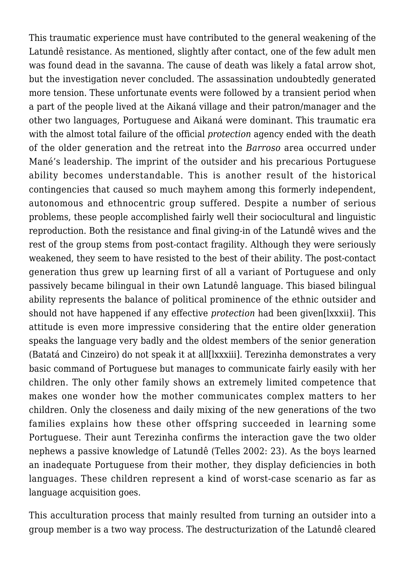This traumatic experience must have contributed to the general weakening of the Latundê resistance. As mentioned, slightly after contact, one of the few adult men was found dead in the savanna. The cause of death was likely a fatal arrow shot, but the investigation never concluded. The assassination undoubtedly generated more tension. These unfortunate events were followed by a transient period when a part of the people lived at the Aikaná village and their patron/manager and the other two languages, Portuguese and Aikaná were dominant. This traumatic era with the almost total failure of the official *protection* agency ended with the death of the older generation and the retreat into the *Barroso* area occurred under Mané's leadership. The imprint of the outsider and his precarious Portuguese ability becomes understandable. This is another result of the historical contingencies that caused so much mayhem among this formerly independent, autonomous and ethnocentric group suffered. Despite a number of serious problems, these people accomplished fairly well their sociocultural and linguistic reproduction. Both the resistance and final giving-in of the Latundê wives and the rest of the group stems from post-contact fragility. Although they were seriously weakened, they seem to have resisted to the best of their ability. The post-contact generation thus grew up learning first of all a variant of Portuguese and only passively became bilingual in their own Latundê language. This biased bilingual ability represents the balance of political prominence of the ethnic outsider and should not have happened if any effective *protection* had been given[lxxxii]. This attitude is even more impressive considering that the entire older generation speaks the language very badly and the oldest members of the senior generation (Batatá and Cinzeiro) do not speak it at all[lxxxiii]. Terezinha demonstrates a very basic command of Portuguese but manages to communicate fairly easily with her children. The only other family shows an extremely limited competence that makes one wonder how the mother communicates complex matters to her children. Only the closeness and daily mixing of the new generations of the two families explains how these other offspring succeeded in learning some Portuguese. Their aunt Terezinha confirms the interaction gave the two older nephews a passive knowledge of Latundê (Telles 2002: 23). As the boys learned an inadequate Portuguese from their mother, they display deficiencies in both languages. These children represent a kind of worst-case scenario as far as language acquisition goes.

This acculturation process that mainly resulted from turning an outsider into a group member is a two way process. The destructurization of the Latundê cleared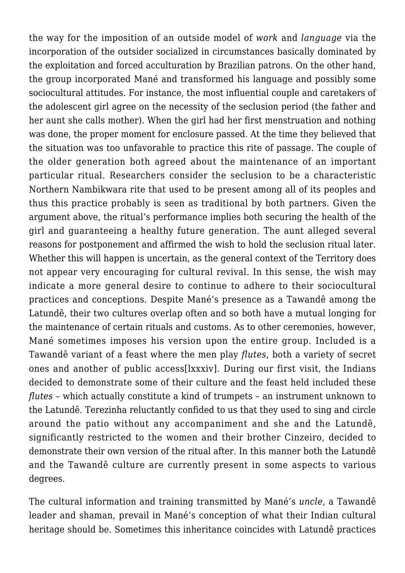the way for the imposition of an outside model of *work* and *language* via the incorporation of the outsider socialized in circumstances basically dominated by the exploitation and forced acculturation by Brazilian patrons. On the other hand, the group incorporated Mané and transformed his language and possibly some sociocultural attitudes. For instance, the most influential couple and caretakers of the adolescent girl agree on the necessity of the seclusion period (the father and her aunt she calls mother). When the girl had her first menstruation and nothing was done, the proper moment for enclosure passed. At the time they believed that the situation was too unfavorable to practice this rite of passage. The couple of the older generation both agreed about the maintenance of an important particular ritual. Researchers consider the seclusion to be a characteristic Northern Nambikwara rite that used to be present among all of its peoples and thus this practice probably is seen as traditional by both partners. Given the argument above, the ritual's performance implies both securing the health of the girl and guaranteeing a healthy future generation. The aunt alleged several reasons for postponement and affirmed the wish to hold the seclusion ritual later. Whether this will happen is uncertain, as the general context of the Territory does not appear very encouraging for cultural revival. In this sense, the wish may indicate a more general desire to continue to adhere to their sociocultural practices and conceptions. Despite Mané's presence as a Tawandê among the Latundê, their two cultures overlap often and so both have a mutual longing for the maintenance of certain rituals and customs. As to other ceremonies, however, Mané sometimes imposes his version upon the entire group. Included is a Tawandê variant of a feast where the men play *flutes*, both a variety of secret ones and another of public access[lxxxiv]. During our first visit, the Indians decided to demonstrate some of their culture and the feast held included these *flutes* – which actually constitute a kind of trumpets – an instrument unknown to the Latundê. Terezinha reluctantly confided to us that they used to sing and circle around the patio without any accompaniment and she and the Latundê, significantly restricted to the women and their brother Cinzeiro, decided to demonstrate their own version of the ritual after. In this manner both the Latundê and the Tawandê culture are currently present in some aspects to various degrees.

The cultural information and training transmitted by Mané's *uncle*, a Tawandê leader and shaman, prevail in Mané's conception of what their Indian cultural heritage should be. Sometimes this inheritance coincides with Latundê practices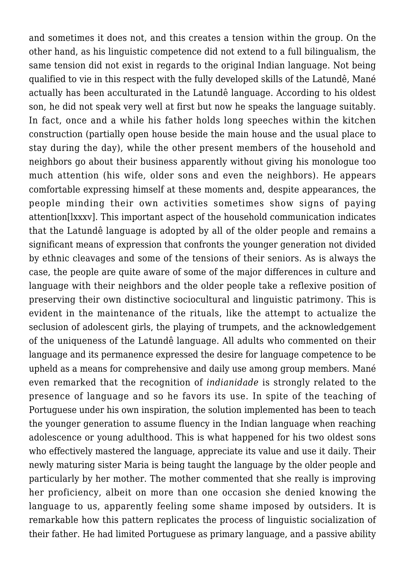and sometimes it does not, and this creates a tension within the group. On the other hand, as his linguistic competence did not extend to a full bilingualism, the same tension did not exist in regards to the original Indian language. Not being qualified to vie in this respect with the fully developed skills of the Latundê, Mané actually has been acculturated in the Latundê language. According to his oldest son, he did not speak very well at first but now he speaks the language suitably. In fact, once and a while his father holds long speeches within the kitchen construction (partially open house beside the main house and the usual place to stay during the day), while the other present members of the household and neighbors go about their business apparently without giving his monologue too much attention (his wife, older sons and even the neighbors). He appears comfortable expressing himself at these moments and, despite appearances, the people minding their own activities sometimes show signs of paying attention[lxxxv]. This important aspect of the household communication indicates that the Latundê language is adopted by all of the older people and remains a significant means of expression that confronts the younger generation not divided by ethnic cleavages and some of the tensions of their seniors. As is always the case, the people are quite aware of some of the major differences in culture and language with their neighbors and the older people take a reflexive position of preserving their own distinctive sociocultural and linguistic patrimony. This is evident in the maintenance of the rituals, like the attempt to actualize the seclusion of adolescent girls, the playing of trumpets, and the acknowledgement of the uniqueness of the Latundê language. All adults who commented on their language and its permanence expressed the desire for language competence to be upheld as a means for comprehensive and daily use among group members. Mané even remarked that the recognition of *indianidade* is strongly related to the presence of language and so he favors its use. In spite of the teaching of Portuguese under his own inspiration, the solution implemented has been to teach the younger generation to assume fluency in the Indian language when reaching adolescence or young adulthood. This is what happened for his two oldest sons who effectively mastered the language, appreciate its value and use it daily. Their newly maturing sister Maria is being taught the language by the older people and particularly by her mother. The mother commented that she really is improving her proficiency, albeit on more than one occasion she denied knowing the language to us, apparently feeling some shame imposed by outsiders. It is remarkable how this pattern replicates the process of linguistic socialization of their father. He had limited Portuguese as primary language, and a passive ability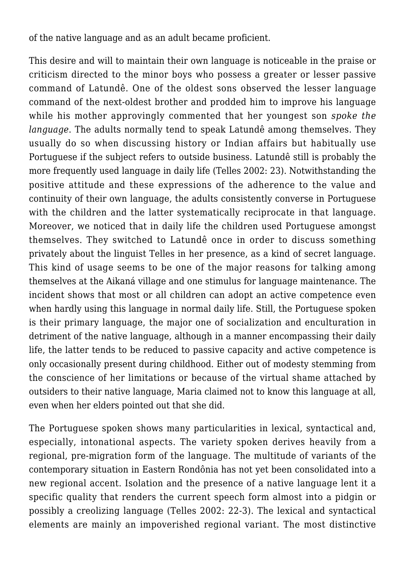of the native language and as an adult became proficient.

This desire and will to maintain their own language is noticeable in the praise or criticism directed to the minor boys who possess a greater or lesser passive command of Latundê. One of the oldest sons observed the lesser language command of the next-oldest brother and prodded him to improve his language while his mother approvingly commented that her youngest son *spoke the language*. The adults normally tend to speak Latundê among themselves. They usually do so when discussing history or Indian affairs but habitually use Portuguese if the subject refers to outside business. Latundê still is probably the more frequently used language in daily life (Telles 2002: 23). Notwithstanding the positive attitude and these expressions of the adherence to the value and continuity of their own language, the adults consistently converse in Portuguese with the children and the latter systematically reciprocate in that language. Moreover, we noticed that in daily life the children used Portuguese amongst themselves. They switched to Latundê once in order to discuss something privately about the linguist Telles in her presence, as a kind of secret language. This kind of usage seems to be one of the major reasons for talking among themselves at the Aikaná village and one stimulus for language maintenance. The incident shows that most or all children can adopt an active competence even when hardly using this language in normal daily life. Still, the Portuguese spoken is their primary language, the major one of socialization and enculturation in detriment of the native language, although in a manner encompassing their daily life, the latter tends to be reduced to passive capacity and active competence is only occasionally present during childhood. Either out of modesty stemming from the conscience of her limitations or because of the virtual shame attached by outsiders to their native language, Maria claimed not to know this language at all, even when her elders pointed out that she did.

The Portuguese spoken shows many particularities in lexical, syntactical and, especially, intonational aspects. The variety spoken derives heavily from a regional, pre-migration form of the language. The multitude of variants of the contemporary situation in Eastern Rondônia has not yet been consolidated into a new regional accent. Isolation and the presence of a native language lent it a specific quality that renders the current speech form almost into a pidgin or possibly a creolizing language (Telles 2002: 22-3). The lexical and syntactical elements are mainly an impoverished regional variant. The most distinctive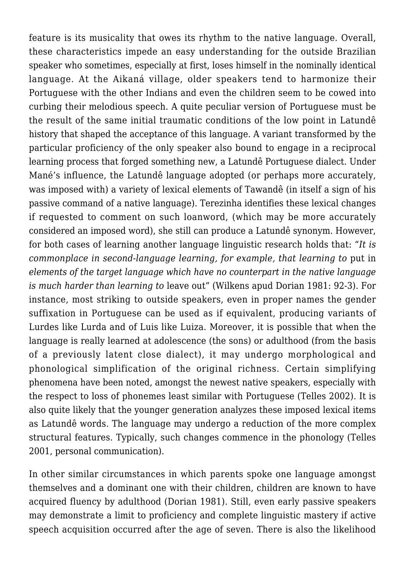feature is its musicality that owes its rhythm to the native language. Overall, these characteristics impede an easy understanding for the outside Brazilian speaker who sometimes, especially at first, loses himself in the nominally identical language. At the Aikaná village, older speakers tend to harmonize their Portuguese with the other Indians and even the children seem to be cowed into curbing their melodious speech. A quite peculiar version of Portuguese must be the result of the same initial traumatic conditions of the low point in Latundê history that shaped the acceptance of this language. A variant transformed by the particular proficiency of the only speaker also bound to engage in a reciprocal learning process that forged something new, a Latundê Portuguese dialect. Under Mané's influence, the Latundê language adopted (or perhaps more accurately, was imposed with) a variety of lexical elements of Tawandê (in itself a sign of his passive command of a native language). Terezinha identifies these lexical changes if requested to comment on such loanword, (which may be more accurately considered an imposed word), she still can produce a Latundê synonym. However, for both cases of learning another language linguistic research holds that: "*It is commonplace in second-language learning, for example, that learning to* put in *elements of the target language which have no counterpart in the native language is much harder than learning to* leave out" (Wilkens apud Dorian 1981: 92-3). For instance, most striking to outside speakers, even in proper names the gender suffixation in Portuguese can be used as if equivalent, producing variants of Lurdes like Lurda and of Luis like Luiza. Moreover, it is possible that when the language is really learned at adolescence (the sons) or adulthood (from the basis of a previously latent close dialect), it may undergo morphological and phonological simplification of the original richness. Certain simplifying phenomena have been noted, amongst the newest native speakers, especially with the respect to loss of phonemes least similar with Portuguese (Telles 2002). It is also quite likely that the younger generation analyzes these imposed lexical items as Latundê words. The language may undergo a reduction of the more complex structural features. Typically, such changes commence in the phonology (Telles 2001, personal communication).

In other similar circumstances in which parents spoke one language amongst themselves and a dominant one with their children, children are known to have acquired fluency by adulthood (Dorian 1981). Still, even early passive speakers may demonstrate a limit to proficiency and complete linguistic mastery if active speech acquisition occurred after the age of seven. There is also the likelihood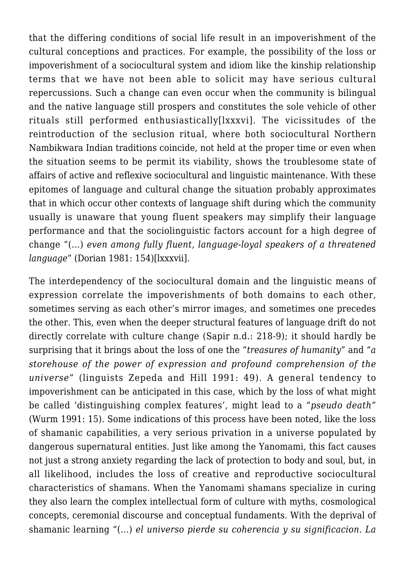that the differing conditions of social life result in an impoverishment of the cultural conceptions and practices. For example, the possibility of the loss or impoverishment of a sociocultural system and idiom like the kinship relationship terms that we have not been able to solicit may have serious cultural repercussions. Such a change can even occur when the community is bilingual and the native language still prospers and constitutes the sole vehicle of other rituals still performed enthusiastically[lxxxvi]. The vicissitudes of the reintroduction of the seclusion ritual, where both sociocultural Northern Nambikwara Indian traditions coincide, not held at the proper time or even when the situation seems to be permit its viability, shows the troublesome state of affairs of active and reflexive sociocultural and linguistic maintenance. With these epitomes of language and cultural change the situation probably approximates that in which occur other contexts of language shift during which the community usually is unaware that young fluent speakers may simplify their language performance and that the sociolinguistic factors account for a high degree of change "(…) *even among fully fluent, language-loyal speakers of a threatened language*" (Dorian 1981: 154)[lxxxvii].

The interdependency of the sociocultural domain and the linguistic means of expression correlate the impoverishments of both domains to each other, sometimes serving as each other's mirror images, and sometimes one precedes the other. This, even when the deeper structural features of language drift do not directly correlate with culture change (Sapir n.d.: 218-9); it should hardly be surprising that it brings about the loss of one the "*treasures of humanity*" and "*a storehouse of the power of expression and profound comprehension of the universe*" (linguists Zepeda and Hill 1991: 49). A general tendency to impoverishment can be anticipated in this case, which by the loss of what might be called 'distinguishing complex features', might lead to a "*pseudo death*" (Wurm 1991: 15). Some indications of this process have been noted, like the loss of shamanic capabilities, a very serious privation in a universe populated by dangerous supernatural entities. Just like among the Yanomami, this fact causes not just a strong anxiety regarding the lack of protection to body and soul, but, in all likelihood, includes the loss of creative and reproductive sociocultural characteristics of shamans. When the Yanomami shamans specialize in curing they also learn the complex intellectual form of culture with myths, cosmological concepts, ceremonial discourse and conceptual fundaments. With the deprival of shamanic learning "(…) *el universo pierde su coherencia y su significacion. La*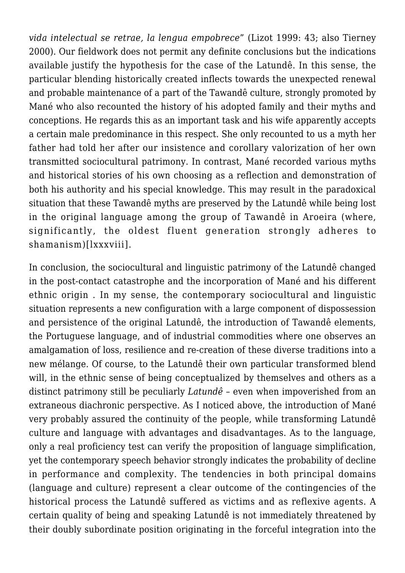*vida intelectual se retrae, la lengua empobrece*" (Lizot 1999: 43; also Tierney 2000). Our fieldwork does not permit any definite conclusions but the indications available justify the hypothesis for the case of the Latundê. In this sense, the particular blending historically created inflects towards the unexpected renewal and probable maintenance of a part of the Tawandê culture, strongly promoted by Mané who also recounted the history of his adopted family and their myths and conceptions. He regards this as an important task and his wife apparently accepts a certain male predominance in this respect. She only recounted to us a myth her father had told her after our insistence and corollary valorization of her own transmitted sociocultural patrimony. In contrast, Mané recorded various myths and historical stories of his own choosing as a reflection and demonstration of both his authority and his special knowledge. This may result in the paradoxical situation that these Tawandê myths are preserved by the Latundê while being lost in the original language among the group of Tawandê in Aroeira (where, significantly, the oldest fluent generation strongly adheres to shamanism)[lxxxviii].

In conclusion, the sociocultural and linguistic patrimony of the Latundê changed in the post-contact catastrophe and the incorporation of Mané and his different ethnic origin . In my sense, the contemporary sociocultural and linguistic situation represents a new configuration with a large component of dispossession and persistence of the original Latundê, the introduction of Tawandê elements, the Portuguese language, and of industrial commodities where one observes an amalgamation of loss, resilience and re-creation of these diverse traditions into a new mélange. Of course, to the Latundê their own particular transformed blend will, in the ethnic sense of being conceptualized by themselves and others as a distinct patrimony still be peculiarly *Latundê* – even when impoverished from an extraneous diachronic perspective. As I noticed above, the introduction of Mané very probably assured the continuity of the people, while transforming Latundê culture and language with advantages and disadvantages. As to the language, only a real proficiency test can verify the proposition of language simplification, yet the contemporary speech behavior strongly indicates the probability of decline in performance and complexity. The tendencies in both principal domains (language and culture) represent a clear outcome of the contingencies of the historical process the Latundê suffered as victims and as reflexive agents. A certain quality of being and speaking Latundê is not immediately threatened by their doubly subordinate position originating in the forceful integration into the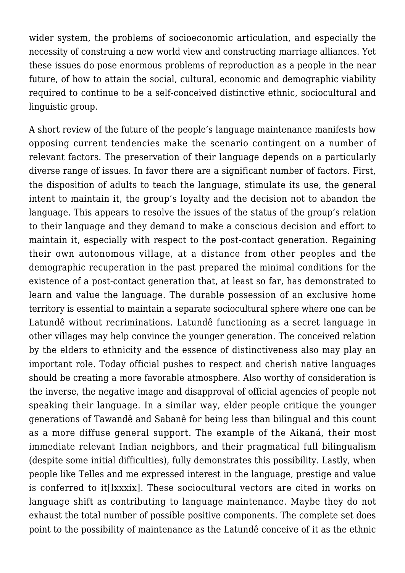wider system, the problems of socioeconomic articulation, and especially the necessity of construing a new world view and constructing marriage alliances. Yet these issues do pose enormous problems of reproduction as a people in the near future, of how to attain the social, cultural, economic and demographic viability required to continue to be a self-conceived distinctive ethnic, sociocultural and linguistic group.

A short review of the future of the people's language maintenance manifests how opposing current tendencies make the scenario contingent on a number of relevant factors. The preservation of their language depends on a particularly diverse range of issues. In favor there are a significant number of factors. First, the disposition of adults to teach the language, stimulate its use, the general intent to maintain it, the group's loyalty and the decision not to abandon the language. This appears to resolve the issues of the status of the group's relation to their language and they demand to make a conscious decision and effort to maintain it, especially with respect to the post-contact generation. Regaining their own autonomous village, at a distance from other peoples and the demographic recuperation in the past prepared the minimal conditions for the existence of a post-contact generation that, at least so far, has demonstrated to learn and value the language. The durable possession of an exclusive home territory is essential to maintain a separate sociocultural sphere where one can be Latundê without recriminations. Latundê functioning as a secret language in other villages may help convince the younger generation. The conceived relation by the elders to ethnicity and the essence of distinctiveness also may play an important role. Today official pushes to respect and cherish native languages should be creating a more favorable atmosphere. Also worthy of consideration is the inverse, the negative image and disapproval of official agencies of people not speaking their language. In a similar way, elder people critique the younger generations of Tawandê and Sabanê for being less than bilingual and this count as a more diffuse general support. The example of the Aikaná, their most immediate relevant Indian neighbors, and their pragmatical full bilingualism (despite some initial difficulties), fully demonstrates this possibility. Lastly, when people like Telles and me expressed interest in the language, prestige and value is conferred to it[lxxxix]. These sociocultural vectors are cited in works on language shift as contributing to language maintenance. Maybe they do not exhaust the total number of possible positive components. The complete set does point to the possibility of maintenance as the Latundê conceive of it as the ethnic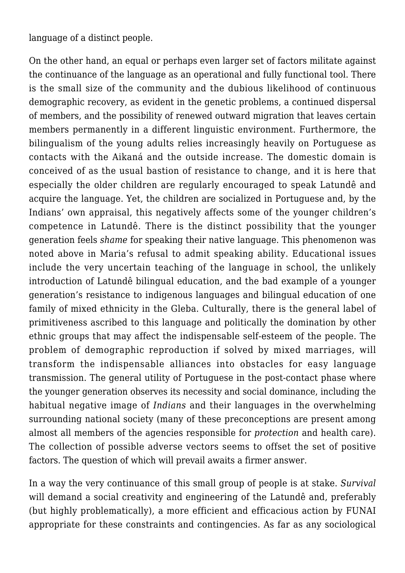language of a distinct people.

On the other hand, an equal or perhaps even larger set of factors militate against the continuance of the language as an operational and fully functional tool. There is the small size of the community and the dubious likelihood of continuous demographic recovery, as evident in the genetic problems, a continued dispersal of members, and the possibility of renewed outward migration that leaves certain members permanently in a different linguistic environment. Furthermore, the bilingualism of the young adults relies increasingly heavily on Portuguese as contacts with the Aikaná and the outside increase. The domestic domain is conceived of as the usual bastion of resistance to change, and it is here that especially the older children are regularly encouraged to speak Latundê and acquire the language. Yet, the children are socialized in Portuguese and, by the Indians' own appraisal, this negatively affects some of the younger children's competence in Latundê. There is the distinct possibility that the younger generation feels *shame* for speaking their native language. This phenomenon was noted above in Maria's refusal to admit speaking ability. Educational issues include the very uncertain teaching of the language in school, the unlikely introduction of Latundê bilingual education, and the bad example of a younger generation's resistance to indigenous languages and bilingual education of one family of mixed ethnicity in the Gleba. Culturally, there is the general label of primitiveness ascribed to this language and politically the domination by other ethnic groups that may affect the indispensable self-esteem of the people. The problem of demographic reproduction if solved by mixed marriages, will transform the indispensable alliances into obstacles for easy language transmission. The general utility of Portuguese in the post-contact phase where the younger generation observes its necessity and social dominance, including the habitual negative image of *Indians* and their languages in the overwhelming surrounding national society (many of these preconceptions are present among almost all members of the agencies responsible for *protection* and health care). The collection of possible adverse vectors seems to offset the set of positive factors. The question of which will prevail awaits a firmer answer.

In a way the very continuance of this small group of people is at stake. *Survival* will demand a social creativity and engineering of the Latundê and, preferably (but highly problematically), a more efficient and efficacious action by FUNAI appropriate for these constraints and contingencies. As far as any sociological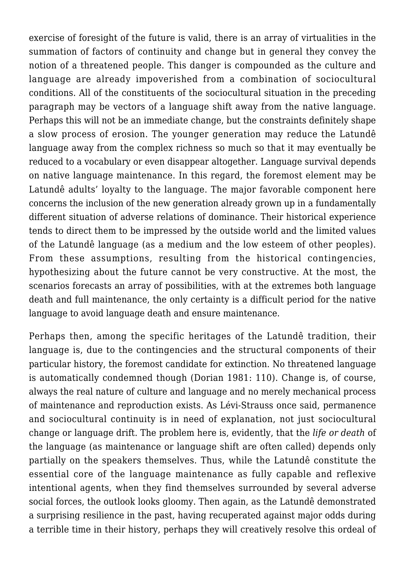exercise of foresight of the future is valid, there is an array of virtualities in the summation of factors of continuity and change but in general they convey the notion of a threatened people. This danger is compounded as the culture and language are already impoverished from a combination of sociocultural conditions. All of the constituents of the sociocultural situation in the preceding paragraph may be vectors of a language shift away from the native language. Perhaps this will not be an immediate change, but the constraints definitely shape a slow process of erosion. The younger generation may reduce the Latundê language away from the complex richness so much so that it may eventually be reduced to a vocabulary or even disappear altogether. Language survival depends on native language maintenance. In this regard, the foremost element may be Latundê adults' loyalty to the language. The major favorable component here concerns the inclusion of the new generation already grown up in a fundamentally different situation of adverse relations of dominance. Their historical experience tends to direct them to be impressed by the outside world and the limited values of the Latundê language (as a medium and the low esteem of other peoples). From these assumptions, resulting from the historical contingencies, hypothesizing about the future cannot be very constructive. At the most, the scenarios forecasts an array of possibilities, with at the extremes both language death and full maintenance, the only certainty is a difficult period for the native language to avoid language death and ensure maintenance.

Perhaps then, among the specific heritages of the Latundê tradition, their language is, due to the contingencies and the structural components of their particular history, the foremost candidate for extinction. No threatened language is automatically condemned though (Dorian 1981: 110). Change is, of course, always the real nature of culture and language and no merely mechanical process of maintenance and reproduction exists. As Lévi-Strauss once said, permanence and sociocultural continuity is in need of explanation, not just sociocultural change or language drift. The problem here is, evidently, that the *life or death* of the language (as maintenance or language shift are often called) depends only partially on the speakers themselves. Thus, while the Latundê constitute the essential core of the language maintenance as fully capable and reflexive intentional agents, when they find themselves surrounded by several adverse social forces, the outlook looks gloomy. Then again, as the Latundê demonstrated a surprising resilience in the past, having recuperated against major odds during a terrible time in their history, perhaps they will creatively resolve this ordeal of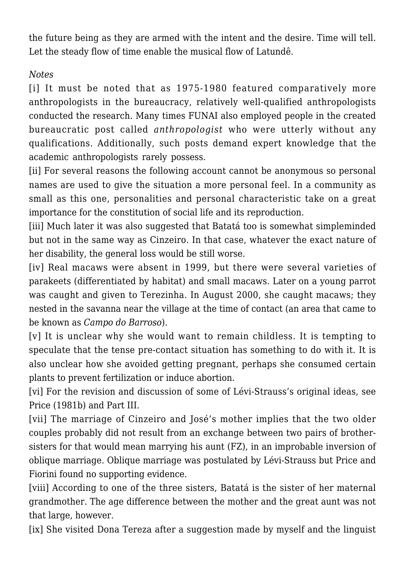the future being as they are armed with the intent and the desire. Time will tell. Let the steady flow of time enable the musical flow of Latundê.

## *Notes*

[i] It must be noted that as 1975-1980 featured comparatively more anthropologists in the bureaucracy, relatively well-qualified anthropologists conducted the research. Many times FUNAI also employed people in the created bureaucratic post called *anthropologist* who were utterly without any qualifications. Additionally, such posts demand expert knowledge that the academic anthropologists rarely possess.

[ii] For several reasons the following account cannot be anonymous so personal names are used to give the situation a more personal feel. In a community as small as this one, personalities and personal characteristic take on a great importance for the constitution of social life and its reproduction.

[iii] Much later it was also suggested that Batatá too is somewhat simpleminded but not in the same way as Cinzeiro. In that case, whatever the exact nature of her disability, the general loss would be still worse.

[iv] Real macaws were absent in 1999, but there were several varieties of parakeets (differentiated by habitat) and small macaws. Later on a young parrot was caught and given to Terezinha. In August 2000, she caught macaws; they nested in the savanna near the village at the time of contact (an area that came to be known as *Campo do Barroso*).

[v] It is unclear why she would want to remain childless. It is tempting to speculate that the tense pre-contact situation has something to do with it. It is also unclear how she avoided getting pregnant, perhaps she consumed certain plants to prevent fertilization or induce abortion.

[vi] For the revision and discussion of some of Lévi-Strauss's original ideas, see Price (1981b) and Part III.

[vii] The marriage of Cinzeiro and José's mother implies that the two older couples probably did not result from an exchange between two pairs of brothersisters for that would mean marrying his aunt (FZ), in an improbable inversion of oblique marriage. Oblique marriage was postulated by Lévi-Strauss but Price and Fiorini found no supporting evidence.

[viii] According to one of the three sisters, Batatá is the sister of her maternal grandmother. The age difference between the mother and the great aunt was not that large, however.

[ix] She visited Dona Tereza after a suggestion made by myself and the linguist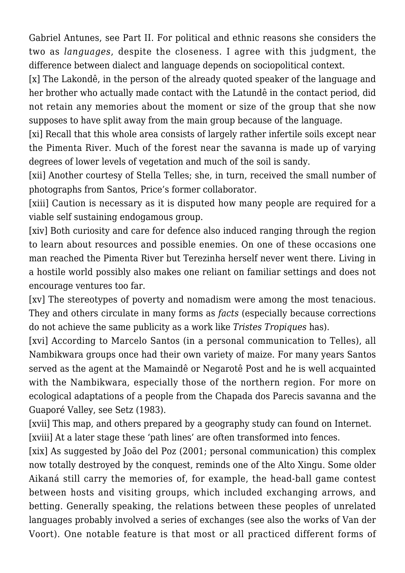Gabriel Antunes, see Part II. For political and ethnic reasons she considers the two as *languages*, despite the closeness. I agree with this judgment, the difference between dialect and language depends on sociopolitical context.

[x] The Lakondê, in the person of the already quoted speaker of the language and her brother who actually made contact with the Latundê in the contact period, did not retain any memories about the moment or size of the group that she now supposes to have split away from the main group because of the language.

[xi] Recall that this whole area consists of largely rather infertile soils except near the Pimenta River. Much of the forest near the savanna is made up of varying degrees of lower levels of vegetation and much of the soil is sandy.

[xii] Another courtesy of Stella Telles; she, in turn, received the small number of photographs from Santos, Price's former collaborator.

[xiii] Caution is necessary as it is disputed how many people are required for a viable self sustaining endogamous group.

[xiv] Both curiosity and care for defence also induced ranging through the region to learn about resources and possible enemies. On one of these occasions one man reached the Pimenta River but Terezinha herself never went there. Living in a hostile world possibly also makes one reliant on familiar settings and does not encourage ventures too far.

[xv] The stereotypes of poverty and nomadism were among the most tenacious. They and others circulate in many forms as *facts* (especially because corrections do not achieve the same publicity as a work like *Tristes Tropiques* has).

[xvi] According to Marcelo Santos (in a personal communication to Telles), all Nambikwara groups once had their own variety of maize. For many years Santos served as the agent at the Mamaindê or Negarotê Post and he is well acquainted with the Nambikwara, especially those of the northern region. For more on ecological adaptations of a people from the Chapada dos Parecis savanna and the Guaporé Valley, see Setz (1983).

[xvii] This map, and others prepared by a geography study can found on Internet.

[xviii] At a later stage these 'path lines' are often transformed into fences.

[xix] As suggested by João del Poz (2001; personal communication) this complex now totally destroyed by the conquest, reminds one of the Alto Xingu. Some older Aikaná still carry the memories of, for example, the head-ball game contest between hosts and visiting groups, which included exchanging arrows, and betting. Generally speaking, the relations between these peoples of unrelated languages probably involved a series of exchanges (see also the works of Van der Voort). One notable feature is that most or all practiced different forms of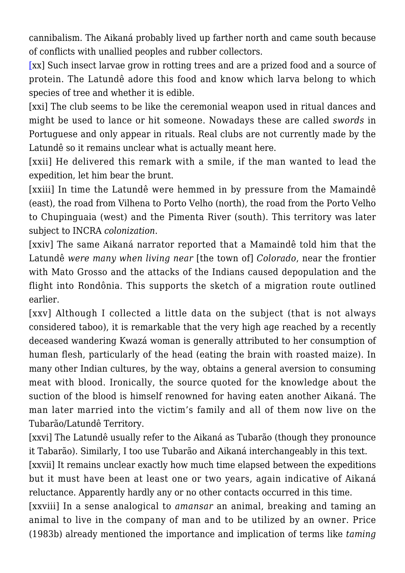cannibalism. The Aikaná probably lived up farther north and came south because of conflicts with unallied peoples and rubber collectors.

[\[](#page--1-0)xx] Such insect larvae grow in rotting trees and are a prized food and a source of protein. The Latundê adore this food and know which larva belong to which species of tree and whether it is edible.

[xxi] The club seems to be like the ceremonial weapon used in ritual dances and might be used to lance or hit someone. Nowadays these are called *swords* in Portuguese and only appear in rituals. Real clubs are not currently made by the Latundê so it remains unclear what is actually meant here.

[xxii] He delivered this remark with a smile, if the man wanted to lead the expedition, let him bear the brunt.

[xxiii] In time the Latundê were hemmed in by pressure from the Mamaindê (east), the road from Vilhena to Porto Velho (north), the road from the Porto Velho to Chupinguaia (west) and the Pimenta River (south). This territory was later subject to INCRA *colonization*.

[xxiv] The same Aikaná narrator reported that a Mamaindê told him that the Latundê *were many when living near* [the town of] *Colorado*, near the frontier with Mato Grosso and the attacks of the Indians caused depopulation and the flight into Rondônia. This supports the sketch of a migration route outlined earlier.

[xxv] Although I collected a little data on the subject (that is not always considered taboo), it is remarkable that the very high age reached by a recently deceased wandering Kwazá woman is generally attributed to her consumption of human flesh, particularly of the head (eating the brain with roasted maize). In many other Indian cultures, by the way, obtains a general aversion to consuming meat with blood. Ironically, the source quoted for the knowledge about the suction of the blood is himself renowned for having eaten another Aikaná. The man later married into the victim's family and all of them now live on the Tubarão/Latundê Territory.

[xxvi] The Latundê usually refer to the Aikaná as Tubarão (though they pronounce it Tabarão). Similarly, I too use Tubarão and Aikaná interchangeably in this text.

[xxvii] It remains unclear exactly how much time elapsed between the expeditions but it must have been at least one or two years, again indicative of Aikaná reluctance. Apparently hardly any or no other contacts occurred in this time.

[xxviii] In a sense analogical to *amansar* an animal, breaking and taming an animal to live in the company of man and to be utilized by an owner. Price (1983b) already mentioned the importance and implication of terms like *taming*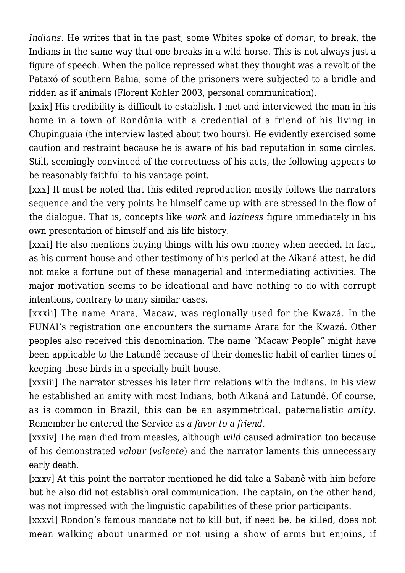*Indians.* He writes that in the past, some Whites spoke of *domar*, to break, the Indians in the same way that one breaks in a wild horse. This is not always just a figure of speech. When the police repressed what they thought was a revolt of the Pataxó of southern Bahia, some of the prisoners were subjected to a bridle and ridden as if animals (Florent Kohler 2003, personal communication).

[xxix] His credibility is difficult to establish. I met and interviewed the man in his home in a town of Rondônia with a credential of a friend of his living in Chupinguaia (the interview lasted about two hours). He evidently exercised some caution and restraint because he is aware of his bad reputation in some circles. Still, seemingly convinced of the correctness of his acts, the following appears to be reasonably faithful to his vantage point.

[xxx] It must be noted that this edited reproduction mostly follows the narrators sequence and the very points he himself came up with are stressed in the flow of the dialogue. That is, concepts like *work* and *laziness* figure immediately in his own presentation of himself and his life history.

[xxxi] He also mentions buying things with his own money when needed. In fact, as his current house and other testimony of his period at the Aikaná attest, he did not make a fortune out of these managerial and intermediating activities. The major motivation seems to be ideational and have nothing to do with corrupt intentions, contrary to many similar cases.

[xxxii] The name Arara, Macaw, was regionally used for the Kwazá. In the FUNAI's registration one encounters the surname Arara for the Kwazá. Other peoples also received this denomination. The name "Macaw People" might have been applicable to the Latundê because of their domestic habit of earlier times of keeping these birds in a specially built house.

[xxxiii] The narrator stresses his later firm relations with the Indians. In his view he established an amity with most Indians, both Aikaná and Latundê. Of course, as is common in Brazil, this can be an asymmetrical, paternalistic *amity.* Remember he entered the Service as *a favor to a friend*.

[xxxiv] The man died from measles, although *wild* caused admiration too because of his demonstrated *valour* (*valente*) and the narrator laments this unnecessary early death.

[xxxv] At this point the narrator mentioned he did take a Sabanê with him before but he also did not establish oral communication. The captain, on the other hand, was not impressed with the linguistic capabilities of these prior participants.

[xxxvi] Rondon's famous mandate not to kill but, if need be, be killed, does not mean walking about unarmed or not using a show of arms but enjoins, if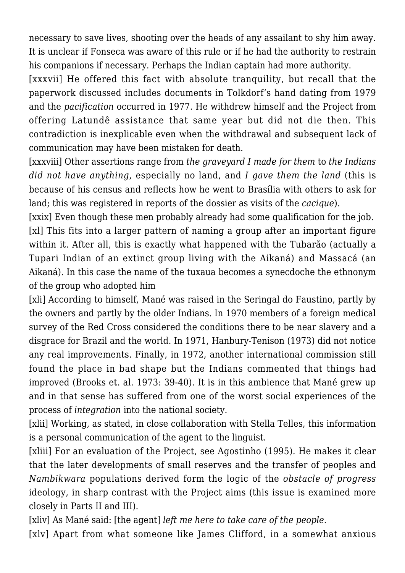necessary to save lives, shooting over the heads of any assailant to shy him away. It is unclear if Fonseca was aware of this rule or if he had the authority to restrain his companions if necessary. Perhaps the Indian captain had more authority.

[xxxvii] He offered this fact with absolute tranquility, but recall that the paperwork discussed includes documents in Tolkdorf's hand dating from 1979 and the *pacification* occurred in 1977. He withdrew himself and the Project from offering Latundê assistance that same year but did not die then. This contradiction is inexplicable even when the withdrawal and subsequent lack of communication may have been mistaken for death.

[xxxviii] Other assertions range from *the graveyard I made for them* to *the Indians did not have anything*, especially no land, and *I gave them the land* (this is because of his census and reflects how he went to Brasília with others to ask for land; this was registered in reports of the dossier as visits of the *cacique*).

[xxix] Even though these men probably already had some qualification for the job. [xl] This fits into a larger pattern of naming a group after an important figure within it. After all, this is exactly what happened with the Tubarão (actually a Tupari Indian of an extinct group living with the Aikaná) and Massacá (an Aikaná). In this case the name of the tuxaua becomes a synecdoche the ethnonym of the group who adopted him

[xli] According to himself, Mané was raised in the Seringal do Faustino, partly by the owners and partly by the older Indians. In 1970 members of a foreign medical survey of the Red Cross considered the conditions there to be near slavery and a disgrace for Brazil and the world. In 1971, Hanbury-Tenison (1973) did not notice any real improvements. Finally, in 1972, another international commission still found the place in bad shape but the Indians commented that things had improved (Brooks et. al. 1973: 39-40). It is in this ambience that Mané grew up and in that sense has suffered from one of the worst social experiences of the process of *integration* into the national society.

[xlii] Working, as stated, in close collaboration with Stella Telles, this information is a personal communication of the agent to the linguist.

[xliii] For an evaluation of the Project, see Agostinho (1995). He makes it clear that the later developments of small reserves and the transfer of peoples and *Nambikwara* populations derived form the logic of the *obstacle of progress* ideology, in sharp contrast with the Project aims (this issue is examined more closely in Parts II and III).

[xliv] As Mané said: [the agent] *left me here to take care of the people*.

[xlv] Apart from what someone like James Clifford, in a somewhat anxious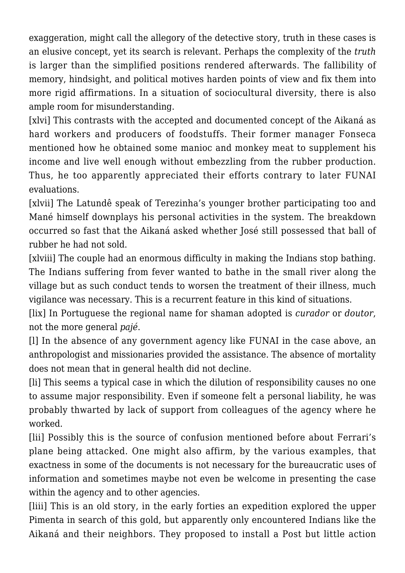exaggeration, might call the allegory of the detective story, truth in these cases is an elusive concept, yet its search is relevant. Perhaps the complexity of the *truth* is larger than the simplified positions rendered afterwards. The fallibility of memory, hindsight, and political motives harden points of view and fix them into more rigid affirmations. In a situation of sociocultural diversity, there is also ample room for misunderstanding.

[xlvi] This contrasts with the accepted and documented concept of the Aikaná as hard workers and producers of foodstuffs. Their former manager Fonseca mentioned how he obtained some manioc and monkey meat to supplement his income and live well enough without embezzling from the rubber production. Thus, he too apparently appreciated their efforts contrary to later FUNAI evaluations.

[xlvii] The Latundê speak of Terezinha's younger brother participating too and Mané himself downplays his personal activities in the system. The breakdown occurred so fast that the Aikaná asked whether José still possessed that ball of rubber he had not sold.

[xlviii] The couple had an enormous difficulty in making the Indians stop bathing. The Indians suffering from fever wanted to bathe in the small river along the village but as such conduct tends to worsen the treatment of their illness, much vigilance was necessary. This is a recurrent feature in this kind of situations.

[lix] In Portuguese the regional name for shaman adopted is *curador* or *doutor*, not the more general *pajé*.

[l] In the absence of any government agency like FUNAI in the case above, an anthropologist and missionaries provided the assistance. The absence of mortality does not mean that in general health did not decline.

[li] This seems a typical case in which the dilution of responsibility causes no one to assume major responsibility. Even if someone felt a personal liability, he was probably thwarted by lack of support from colleagues of the agency where he worked.

[lii] Possibly this is the source of confusion mentioned before about Ferrari's plane being attacked. One might also affirm, by the various examples, that exactness in some of the documents is not necessary for the bureaucratic uses of information and sometimes maybe not even be welcome in presenting the case within the agency and to other agencies.

[liii] This is an old story, in the early forties an expedition explored the upper Pimenta in search of this gold, but apparently only encountered Indians like the Aikaná and their neighbors. They proposed to install a Post but little action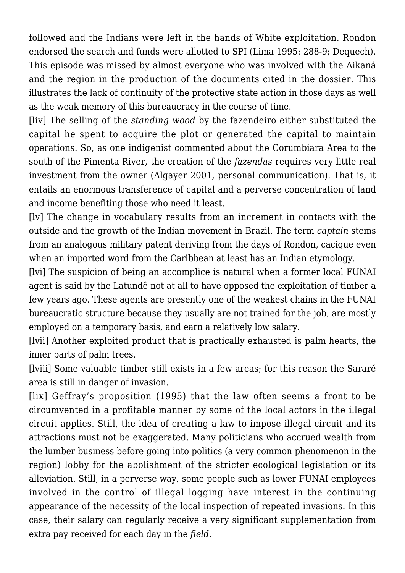followed and the Indians were left in the hands of White exploitation. Rondon endorsed the search and funds were allotted to SPI (Lima 1995: 288-9; Dequech). This episode was missed by almost everyone who was involved with the Aikaná and the region in the production of the documents cited in the dossier. This illustrates the lack of continuity of the protective state action in those days as well as the weak memory of this bureaucracy in the course of time.

[liv] The selling of the *standing wood* by the fazendeiro either substituted the capital he spent to acquire the plot or generated the capital to maintain operations. So, as one indigenist commented about the Corumbiara Area to the south of the Pimenta River, the creation of the *fazendas* requires very little real investment from the owner (Algayer 2001, personal communication). That is, it entails an enormous transference of capital and a perverse concentration of land and income benefiting those who need it least.

[lv] The change in vocabulary results from an increment in contacts with the outside and the growth of the Indian movement in Brazil. The term *captain* stems from an analogous military patent deriving from the days of Rondon, cacique even when an imported word from the Caribbean at least has an Indian etymology.

[lvi] The suspicion of being an accomplice is natural when a former local FUNAI agent is said by the Latundê not at all to have opposed the exploitation of timber a few years ago. These agents are presently one of the weakest chains in the FUNAI bureaucratic structure because they usually are not trained for the job, are mostly employed on a temporary basis, and earn a relatively low salary.

[lvii] Another exploited product that is practically exhausted is palm hearts, the inner parts of palm trees.

[lviii] Some valuable timber still exists in a few areas; for this reason the Sararé area is still in danger of invasion.

[lix] Geffray's proposition (1995) that the law often seems a front to be circumvented in a profitable manner by some of the local actors in the illegal circuit applies. Still, the idea of creating a law to impose illegal circuit and its attractions must not be exaggerated. Many politicians who accrued wealth from the lumber business before going into politics (a very common phenomenon in the region) lobby for the abolishment of the stricter ecological legislation or its alleviation. Still, in a perverse way, some people such as lower FUNAI employees involved in the control of illegal logging have interest in the continuing appearance of the necessity of the local inspection of repeated invasions. In this case, their salary can regularly receive a very significant supplementation from extra pay received for each day in the *field*.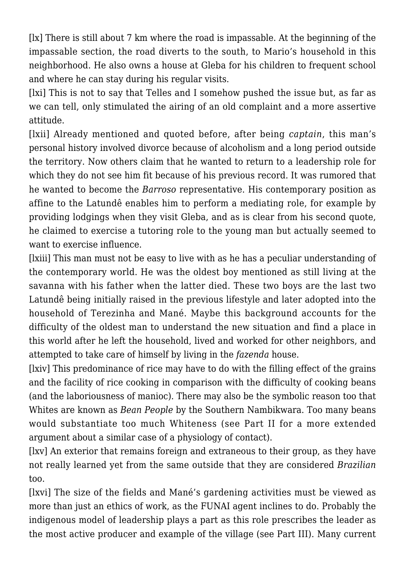[lx] There is still about 7 km where the road is impassable. At the beginning of the impassable section, the road diverts to the south, to Mario's household in this neighborhood. He also owns a house at Gleba for his children to frequent school and where he can stay during his regular visits.

[lxi] This is not to say that Telles and I somehow pushed the issue but, as far as we can tell, only stimulated the airing of an old complaint and a more assertive attitude.

[lxii] Already mentioned and quoted before, after being *captain*, this man's personal history involved divorce because of alcoholism and a long period outside the territory. Now others claim that he wanted to return to a leadership role for which they do not see him fit because of his previous record. It was rumored that he wanted to become the *Barroso* representative. His contemporary position as affine to the Latundê enables him to perform a mediating role, for example by providing lodgings when they visit Gleba, and as is clear from his second quote, he claimed to exercise a tutoring role to the young man but actually seemed to want to exercise influence.

[lxiii] This man must not be easy to live with as he has a peculiar understanding of the contemporary world. He was the oldest boy mentioned as still living at the savanna with his father when the latter died. These two boys are the last two Latundê being initially raised in the previous lifestyle and later adopted into the household of Terezinha and Mané. Maybe this background accounts for the difficulty of the oldest man to understand the new situation and find a place in this world after he left the household, lived and worked for other neighbors, and attempted to take care of himself by living in the *fazenda* house.

[lxiv] This predominance of rice may have to do with the filling effect of the grains and the facility of rice cooking in comparison with the difficulty of cooking beans (and the laboriousness of manioc). There may also be the symbolic reason too that Whites are known as *Bean People* by the Southern Nambikwara. Too many beans would substantiate too much Whiteness (see Part II for a more extended argument about a similar case of a physiology of contact).

[lxv] An exterior that remains foreign and extraneous to their group, as they have not really learned yet from the same outside that they are considered *Brazilian* too.

[lxvi] The size of the fields and Mané's gardening activities must be viewed as more than just an ethics of work, as the FUNAI agent inclines to do. Probably the indigenous model of leadership plays a part as this role prescribes the leader as the most active producer and example of the village (see Part III). Many current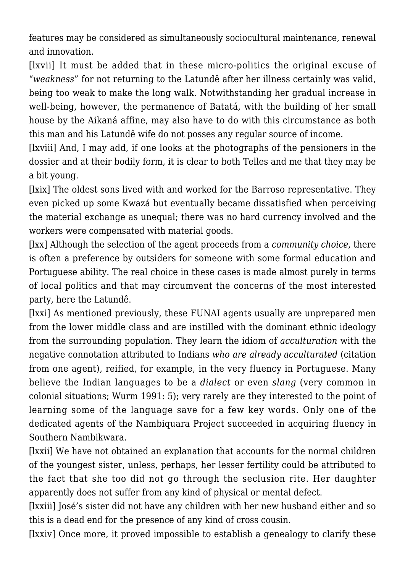features may be considered as simultaneously sociocultural maintenance, renewal and innovation.

[lxvii] It must be added that in these micro-politics the original excuse of "*weakness*" for not returning to the Latundê after her illness certainly was valid, being too weak to make the long walk. Notwithstanding her gradual increase in well-being, however, the permanence of Batatá, with the building of her small house by the Aikaná affine, may also have to do with this circumstance as both this man and his Latundê wife do not posses any regular source of income.

[lxviii] And, I may add, if one looks at the photographs of the pensioners in the dossier and at their bodily form, it is clear to both Telles and me that they may be a bit young.

[lxix] The oldest sons lived with and worked for the Barroso representative. They even picked up some Kwazá but eventually became dissatisfied when perceiving the material exchange as unequal; there was no hard currency involved and the workers were compensated with material goods.

[lxx] Although the selection of the agent proceeds from a *community choice*, there is often a preference by outsiders for someone with some formal education and Portuguese ability. The real choice in these cases is made almost purely in terms of local politics and that may circumvent the concerns of the most interested party, here the Latundê.

[lxxi] As mentioned previously, these FUNAI agents usually are unprepared men from the lower middle class and are instilled with the dominant ethnic ideology from the surrounding population. They learn the idiom of *acculturation* with the negative connotation attributed to Indians *who are already acculturated* (citation from one agent), reified, for example, in the very fluency in Portuguese. Many believe the Indian languages to be a *dialect* or even *slang* (very common in colonial situations; Wurm 1991: 5); very rarely are they interested to the point of learning some of the language save for a few key words. Only one of the dedicated agents of the Nambiquara Project succeeded in acquiring fluency in Southern Nambikwara.

[lxxii] We have not obtained an explanation that accounts for the normal children of the youngest sister, unless, perhaps, her lesser fertility could be attributed to the fact that she too did not go through the seclusion rite. Her daughter apparently does not suffer from any kind of physical or mental defect.

[lxxiii] José's sister did not have any children with her new husband either and so this is a dead end for the presence of any kind of cross cousin.

[lxxiv] Once more, it proved impossible to establish a genealogy to clarify these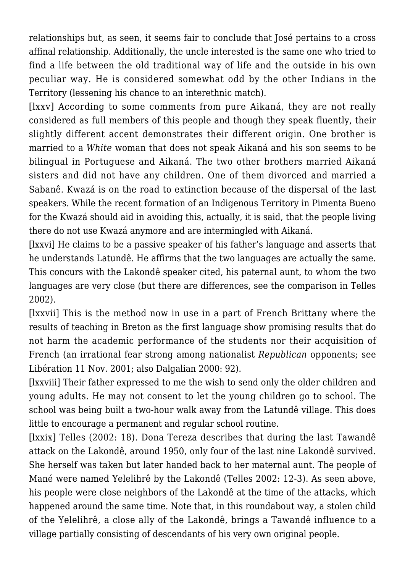relationships but, as seen, it seems fair to conclude that José pertains to a cross affinal relationship. Additionally, the uncle interested is the same one who tried to find a life between the old traditional way of life and the outside in his own peculiar way. He is considered somewhat odd by the other Indians in the Territory (lessening his chance to an interethnic match).

[lxxv] According to some comments from pure Aikaná, they are not really considered as full members of this people and though they speak fluently, their slightly different accent demonstrates their different origin. One brother is married to a *White* woman that does not speak Aikaná and his son seems to be bilingual in Portuguese and Aikaná. The two other brothers married Aikaná sisters and did not have any children. One of them divorced and married a Sabanê. Kwazá is on the road to extinction because of the dispersal of the last speakers. While the recent formation of an Indigenous Territory in Pimenta Bueno for the Kwazá should aid in avoiding this, actually, it is said, that the people living there do not use Kwazá anymore and are intermingled with Aikaná.

[lxxvi] He claims to be a passive speaker of his father's language and asserts that he understands Latundê. He affirms that the two languages are actually the same. This concurs with the Lakondê speaker cited, his paternal aunt, to whom the two languages are very close (but there are differences, see the comparison in Telles 2002).

[lxxvii] This is the method now in use in a part of French Brittany where the results of teaching in Breton as the first language show promising results that do not harm the academic performance of the students nor their acquisition of French (an irrational fear strong among nationalist *Republican* opponents; see Libération 11 Nov. 2001; also Dalgalian 2000: 92).

[lxxviii] Their father expressed to me the wish to send only the older children and young adults. He may not consent to let the young children go to school. The school was being built a two-hour walk away from the Latundê village. This does little to encourage a permanent and regular school routine.

[lxxix] Telles (2002: 18). Dona Tereza describes that during the last Tawandê attack on the Lakondê, around 1950, only four of the last nine Lakondê survived. She herself was taken but later handed back to her maternal aunt. The people of Mané were named Yelelihrê by the Lakondê (Telles 2002: 12-3). As seen above, his people were close neighbors of the Lakondê at the time of the attacks, which happened around the same time. Note that, in this roundabout way, a stolen child of the Yelelihrê, a close ally of the Lakondê, brings a Tawandê influence to a village partially consisting of descendants of his very own original people.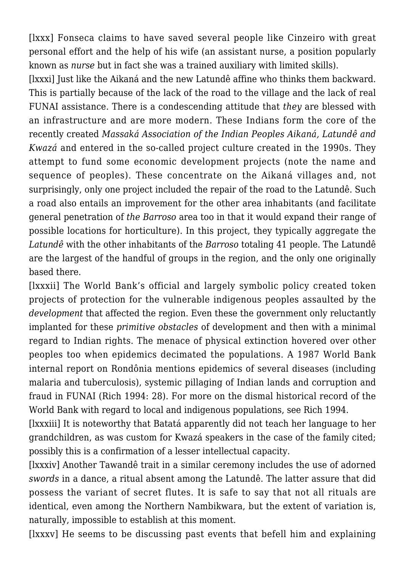[lxxx] Fonseca claims to have saved several people like Cinzeiro with great personal effort and the help of his wife (an assistant nurse, a position popularly known as *nurse* but in fact she was a trained auxiliary with limited skills).

[lxxxi] Just like the Aikaná and the new Latundê affine who thinks them backward. This is partially because of the lack of the road to the village and the lack of real FUNAI assistance. There is a condescending attitude that *they* are blessed with an infrastructure and are more modern. These Indians form the core of the recently created *Massaká Association of the Indian Peoples Aikaná, Latundê and Kwazá* and entered in the so-called project culture created in the 1990s. They attempt to fund some economic development projects (note the name and sequence of peoples). These concentrate on the Aikaná villages and, not surprisingly, only one project included the repair of the road to the Latundê. Such a road also entails an improvement for the other area inhabitants (and facilitate general penetration of *the Barroso* area too in that it would expand their range of possible locations for horticulture). In this project, they typically aggregate the *Latundê* with the other inhabitants of the *Barroso* totaling 41 people. The Latundê are the largest of the handful of groups in the region, and the only one originally based there.

[lxxxii] The World Bank's official and largely symbolic policy created token projects of protection for the vulnerable indigenous peoples assaulted by the *development* that affected the region. Even these the government only reluctantly implanted for these *primitive obstacles* of development and then with a minimal regard to Indian rights. The menace of physical extinction hovered over other peoples too when epidemics decimated the populations. A 1987 World Bank internal report on Rondônia mentions epidemics of several diseases (including malaria and tuberculosis), systemic pillaging of Indian lands and corruption and fraud in FUNAI (Rich 1994: 28). For more on the dismal historical record of the World Bank with regard to local and indigenous populations, see Rich 1994.

[lxxxiii] It is noteworthy that Batatá apparently did not teach her language to her grandchildren, as was custom for Kwazá speakers in the case of the family cited; possibly this is a confirmation of a lesser intellectual capacity.

[lxxxiv] Another Tawandê trait in a similar ceremony includes the use of adorned *swords* in a dance, a ritual absent among the Latundê. The latter assure that did possess the variant of secret flutes. It is safe to say that not all rituals are identical, even among the Northern Nambikwara, but the extent of variation is, naturally, impossible to establish at this moment.

[lxxxv] He seems to be discussing past events that befell him and explaining